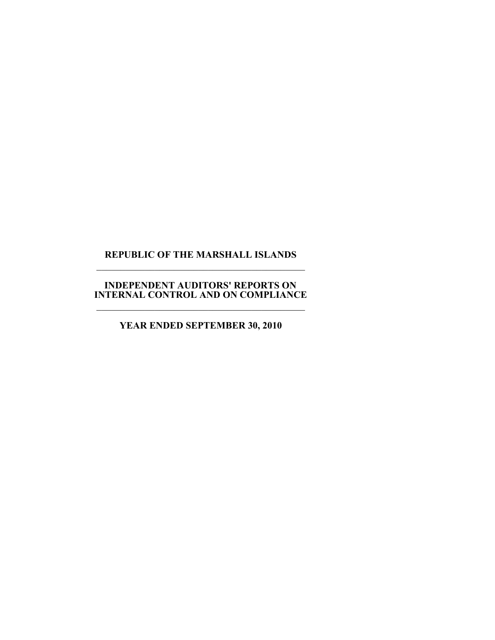# **REPUBLIC OF THE MARSHALL ISLANDS**   $\overline{\phantom{a}}$  , and the set of the set of the set of the set of the set of the set of the set of the set of the set of the set of the set of the set of the set of the set of the set of the set of the set of the set of the s

### **INDEPENDENT AUDITORS' REPORTS ON INTERNAL CONTROL AND ON COMPLIANCE**   $\overline{\phantom{a}}$  , and the set of the set of the set of the set of the set of the set of the set of the set of the set of the set of the set of the set of the set of the set of the set of the set of the set of the set of the s

**YEAR ENDED SEPTEMBER 30, 2010**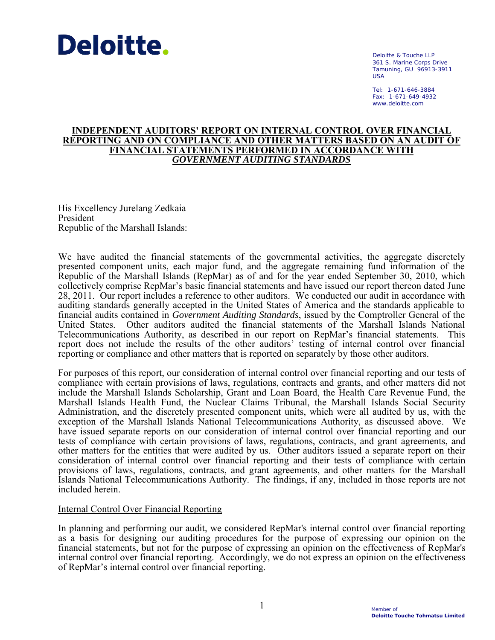

Deloitte & Touche LLP 361 S. Marine Corps Drive Tamuning, GU 96913-3911 USA

Tel: 1-671-646-3884 Fax: 1-671-649-4932 www.deloitte.com

#### **INDEPENDENT AUDITORS' REPORT ON INTERNAL CONTROL OVER FINANCIAL REPORTING AND ON COMPLIANCE AND OTHER MATTERS BASED ON AN AUDIT OF FINANCIAL STATEMENTS PERFORMED IN ACCORDANCE WITH**  *GOVERNMENT AUDITING STANDARDS*

His Excellency Jurelang Zedkaia President Republic of the Marshall Islands:

We have audited the financial statements of the governmental activities, the aggregate discretely presented component units, each major fund, and the aggregate remaining fund information of the Republic of the Marshall Islands (RepMar) as of and for the year ended September 30, 2010, which collectively comprise RepMar's basic financial statements and have issued our report thereon dated June 28, 2011. Our report includes a reference to other auditors. We conducted our audit in accordance with auditing standards generally accepted in the United States of America and the standards applicable to financial audits contained in *Government Auditing Standards*, issued by the Comptroller General of the United States. Other auditors audited the financial statements of the Marshall Islands National Telecommunications Authority, as described in our report on RepMar's financial statements. This report does not include the results of the other auditors' testing of internal control over financial reporting or compliance and other matters that is reported on separately by those other auditors.

For purposes of this report, our consideration of internal control over financial reporting and our tests of compliance with certain provisions of laws, regulations, contracts and grants, and other matters did not include the Marshall Islands Scholarship, Grant and Loan Board, the Health Care Revenue Fund, the Marshall Islands Health Fund, the Nuclear Claims Tribunal, the Marshall Islands Social Security Administration, and the discretely presented component units, which were all audited by us, with the exception of the Marshall Islands National Telecommunications Authority, as discussed above. We have issued separate reports on our consideration of internal control over financial reporting and our tests of compliance with certain provisions of laws, regulations, contracts, and grant agreements, and other matters for the entities that were audited by us. Other auditors issued a separate report on their consideration of internal control over financial reporting and their tests of compliance with certain provisions of laws, regulations, contracts, and grant agreements, and other matters for the Marshall Islands National Telecommunications Authority. The findings, if any, included in those reports are not included herein.

#### Internal Control Over Financial Reporting

In planning and performing our audit, we considered RepMar's internal control over financial reporting as a basis for designing our auditing procedures for the purpose of expressing our opinion on the financial statements, but not for the purpose of expressing an opinion on the effectiveness of RepMar's internal control over financial reporting. Accordingly, we do not express an opinion on the effectiveness of RepMar's internal control over financial reporting.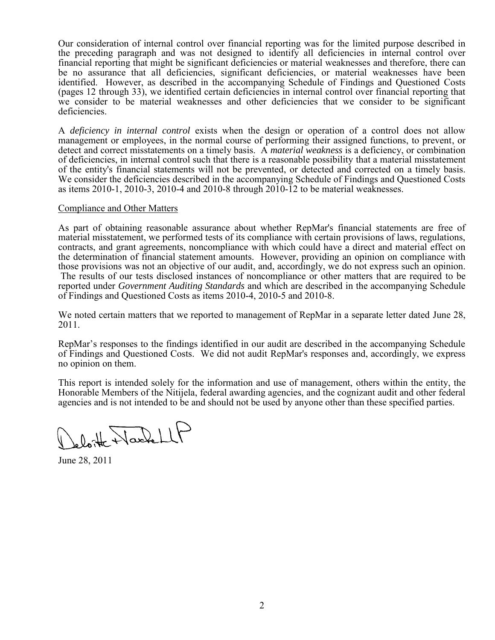Our consideration of internal control over financial reporting was for the limited purpose described in the preceding paragraph and was not designed to identify all deficiencies in internal control over financial reporting that might be significant deficiencies or material weaknesses and therefore, there can be no assurance that all deficiencies, significant deficiencies, or material weaknesses have been identified. However, as described in the accompanying Schedule of Findings and Questioned Costs (pages 12 through 33), we identified certain deficiencies in internal control over financial reporting that we consider to be material weaknesses and other deficiencies that we consider to be significant deficiencies.

A *deficiency in internal control* exists when the design or operation of a control does not allow management or employees, in the normal course of performing their assigned functions, to prevent, or detect and correct misstatements on a timely basis. A *material weakness* is a deficiency, or combination of deficiencies, in internal control such that there is a reasonable possibility that a material misstatement of the entity's financial statements will not be prevented, or detected and corrected on a timely basis. We consider the deficiencies described in the accompanying Schedule of Findings and Questioned Costs as items 2010-1, 2010-3, 2010-4 and 2010-8 through 2010-12 to be material weaknesses.

#### Compliance and Other Matters

As part of obtaining reasonable assurance about whether RepMar's financial statements are free of material misstatement, we performed tests of its compliance with certain provisions of laws, regulations, contracts, and grant agreements, noncompliance with which could have a direct and material effect on the determination of financial statement amounts. However, providing an opinion on compliance with those provisions was not an objective of our audit, and, accordingly, we do not express such an opinion. The results of our tests disclosed instances of noncompliance or other matters that are required to be reported under *Government Auditing Standards* and which are described in the accompanying Schedule of Findings and Questioned Costs as items 2010-4, 2010-5 and 2010-8.

We noted certain matters that we reported to management of RepMar in a separate letter dated June 28, 2011.

RepMar's responses to the findings identified in our audit are described in the accompanying Schedule of Findings and Questioned Costs. We did not audit RepMar's responses and, accordingly, we express no opinion on them.

This report is intended solely for the information and use of management, others within the entity, the Honorable Members of the Nitijela, federal awarding agencies, and the cognizant audit and other federal agencies and is not intended to be and should not be used by anyone other than these specified parties.

leloitte NachellP

June 28, 2011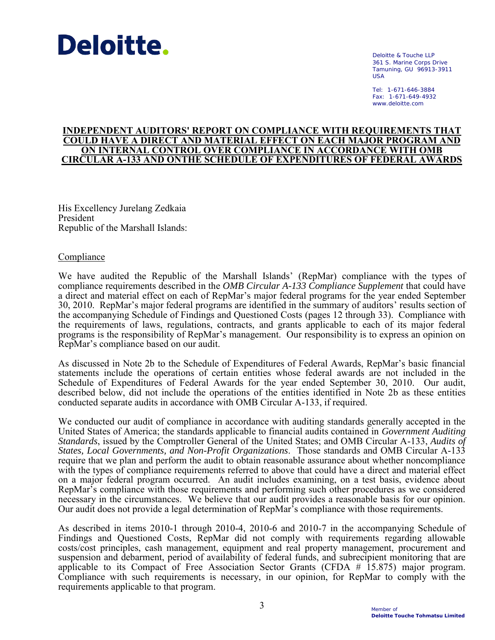

Deloitte & Touche LLP 361 S. Marine Corps Drive Tamuning, GU 96913-3911 USA

Tel: 1-671-646-3884 Fax: 1-671-649-4932 www.deloitte.com

#### **INDEPENDENT AUDITORS' REPORT ON COMPLIANCE WITH REQUIREMENTS THAT COULD HAVE A DIRECT AND MATERIAL EFFECT ON EACH MAJOR PROGRAM AND ON INTERNAL CONTROL OVER COMPLIANCE IN ACCORDANCE WITH OMB CIRCULAR A-133 AND ONTHE SCHEDULE OF EXPENDITURES OF FEDERAL AWARDS**

His Excellency Jurelang Zedkaia President Republic of the Marshall Islands:

#### **Compliance**

We have audited the Republic of the Marshall Islands' (RepMar) compliance with the types of compliance requirements described in the *OMB Circular A-133 Compliance Supplement* that could have a direct and material effect on each of RepMar's major federal programs for the year ended September 30, 2010. RepMar's major federal programs are identified in the summary of auditors' results section of the accompanying Schedule of Findings and Questioned Costs (pages 12 through 33). Compliance with the requirements of laws, regulations, contracts, and grants applicable to each of its major federal programs is the responsibility of RepMar's management. Our responsibility is to express an opinion on RepMar's compliance based on our audit.

As discussed in Note 2b to the Schedule of Expenditures of Federal Awards, RepMar's basic financial statements include the operations of certain entities whose federal awards are not included in the Schedule of Expenditures of Federal Awards for the year ended September 30, 2010. Our audit, described below, did not include the operations of the entities identified in Note 2b as these entities conducted separate audits in accordance with OMB Circular A-133, if required.

We conducted our audit of compliance in accordance with auditing standards generally accepted in the United States of America; the standards applicable to financial audits contained in *Government Auditing Standards*, issued by the Comptroller General of the United States; and OMB Circular A-133, *Audits of States, Local Governments, and Non-Profit Organizations*. Those standards and OMB Circular A-133 require that we plan and perform the audit to obtain reasonable assurance about whether noncompliance with the types of compliance requirements referred to above that could have a direct and material effect on a major federal program occurred. An audit includes examining, on a test basis, evidence about RepMar's compliance with those requirements and performing such other procedures as we considered necessary in the circumstances. We believe that our audit provides a reasonable basis for our opinion. Our audit does not provide a legal determination of RepMar's compliance with those requirements.

As described in items 2010-1 through 2010-4, 2010-6 and 2010-7 in the accompanying Schedule of Findings and Questioned Costs, RepMar did not comply with requirements regarding allowable costs/cost principles, cash management, equipment and real property management, procurement and suspension and debarment, period of availability of federal funds, and subrecipient monitoring that are applicable to its Compact of Free Association Sector Grants (CFDA # 15.875) major program. Compliance with such requirements is necessary, in our opinion, for RepMar to comply with the requirements applicable to that program.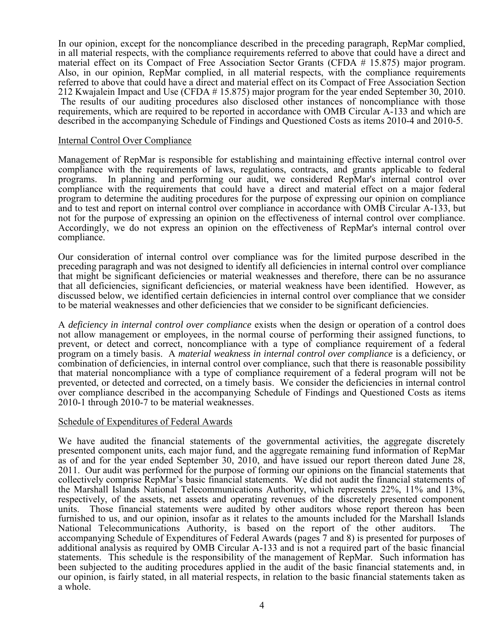In our opinion, except for the noncompliance described in the preceding paragraph, RepMar complied, in all material respects, with the compliance requirements referred to above that could have a direct and material effect on its Compact of Free Association Sector Grants (CFDA # 15.875) major program. Also, in our opinion, RepMar complied, in all material respects, with the compliance requirements referred to above that could have a direct and material effect on its Compact of Free Association Section 212 Kwajalein Impact and Use (CFDA # 15.875) major program for the year ended September 30, 2010. The results of our auditing procedures also disclosed other instances of noncompliance with those requirements, which are required to be reported in accordance with OMB Circular A-133 and which are described in the accompanying Schedule of Findings and Questioned Costs as items 2010-4 and 2010-5.

#### Internal Control Over Compliance

Management of RepMar is responsible for establishing and maintaining effective internal control over compliance with the requirements of laws, regulations, contracts, and grants applicable to federal programs. In planning and performing our audit, we considered RepMar's internal control over compliance with the requirements that could have a direct and material effect on a major federal program to determine the auditing procedures for the purpose of expressing our opinion on compliance and to test and report on internal control over compliance in accordance with OMB Circular A-133, but not for the purpose of expressing an opinion on the effectiveness of internal control over compliance. Accordingly, we do not express an opinion on the effectiveness of RepMar's internal control over compliance.

Our consideration of internal control over compliance was for the limited purpose described in the preceding paragraph and was not designed to identify all deficiencies in internal control over compliance that might be significant deficiencies or material weaknesses and therefore, there can be no assurance that all deficiencies, significant deficiencies, or material weakness have been identified. However, as discussed below, we identified certain deficiencies in internal control over compliance that we consider to be material weaknesses and other deficiencies that we consider to be significant deficiencies.

A *deficiency in internal control over compliance* exists when the design or operation of a control does not allow management or employees, in the normal course of performing their assigned functions, to prevent, or detect and correct, noncompliance with a type of compliance requirement of a federal program on a timely basis. A *material weakness in internal control over compliance* is a deficiency, or combination of deficiencies, in internal control over compliance, such that there is reasonable possibility that material noncompliance with a type of compliance requirement of a federal program will not be prevented, or detected and corrected, on a timely basis. We consider the deficiencies in internal control over compliance described in the accompanying Schedule of Findings and Questioned Costs as items 2010-1 through 2010-7 to be material weaknesses.

#### Schedule of Expenditures of Federal Awards

We have audited the financial statements of the governmental activities, the aggregate discretely presented component units, each major fund, and the aggregate remaining fund information of RepMar as of and for the year ended September 30, 2010, and have issued our report thereon dated June 28, 2011. Our audit was performed for the purpose of forming our opinions on the financial statements that collectively comprise RepMar's basic financial statements. We did not audit the financial statements of the Marshall Islands National Telecommunications Authority, which represents 22%, 11% and 13%, respectively, of the assets, net assets and operating revenues of the discretely presented component units. Those financial statements were audited by other auditors whose report thereon has been furnished to us, and our opinion, insofar as it relates to the amounts included for the Marshall Islands National Telecommunications Authority, is based on the report of the other auditors. The accompanying Schedule of Expenditures of Federal Awards (pages 7 and 8) is presented for purposes of additional analysis as required by OMB Circular A-133 and is not a required part of the basic financial statements. This schedule is the responsibility of the management of RepMar. Such information has been subjected to the auditing procedures applied in the audit of the basic financial statements and, in our opinion, is fairly stated, in all material respects, in relation to the basic financial statements taken as a whole.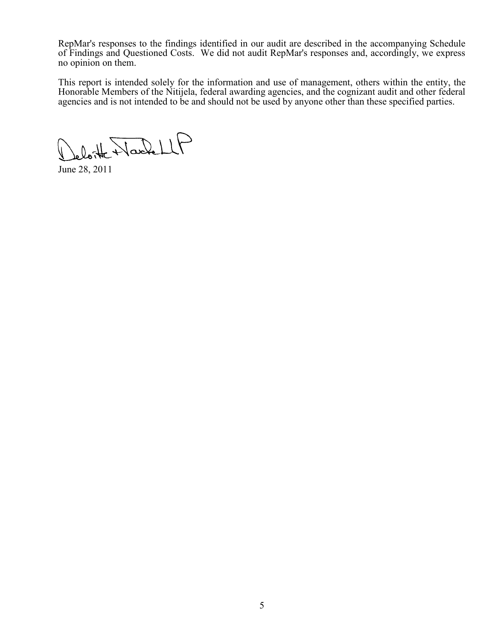RepMar's responses to the findings identified in our audit are described in the accompanying Schedule of Findings and Questioned Costs. We did not audit RepMar's responses and, accordingly, we express no opinion on them.

This report is intended solely for the information and use of management, others within the entity, the Honorable Members of the Nitijela, federal awarding agencies, and the cognizant audit and other federal agencies and is not intended to be and should not be used by anyone other than these specified parties.

deloitte NachellP

June 28, 2011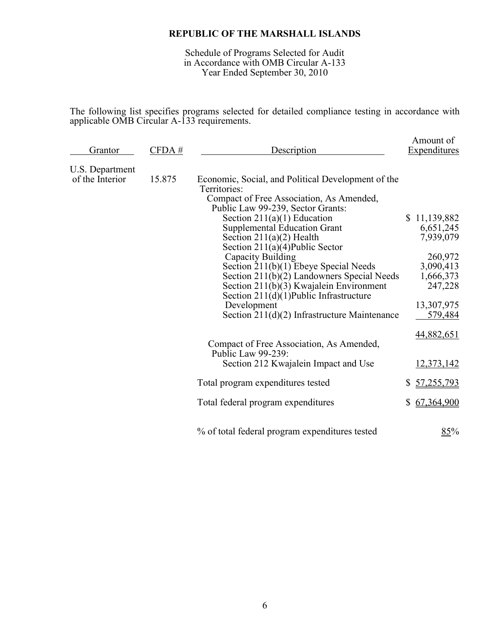Schedule of Programs Selected for Audit in Accordance with OMB Circular A-133 Year Ended September 30, 2010

The following list specifies programs selected for detailed compliance testing in accordance with applicable OMB Circular A-133 requirements.

| Grantor                            | CFDA#  | Description                                                                                                                                                                                                                                                                                                                                                                                                                                                                                                                                                           |   | Amount of<br><b>Expenditures</b>                                                                                |
|------------------------------------|--------|-----------------------------------------------------------------------------------------------------------------------------------------------------------------------------------------------------------------------------------------------------------------------------------------------------------------------------------------------------------------------------------------------------------------------------------------------------------------------------------------------------------------------------------------------------------------------|---|-----------------------------------------------------------------------------------------------------------------|
| U.S. Department<br>of the Interior | 15.875 | Economic, Social, and Political Development of the<br>Territories:<br>Compact of Free Association, As Amended,<br>Public Law 99-239, Sector Grants:<br>Section $211(a)(1)$ Education<br><b>Supplemental Education Grant</b><br>Section $211(a)(2)$ Health<br>Section $211(a)(4)$ Public Sector<br>Capacity Building<br>Section 211(b)(1) Ebeye Special Needs<br>Section 211(b)(2) Landowners Special Needs<br>Section $211(b)(3)$ Kwajalein Environment<br>Section $211(d)(1)$ Public Infrastructure<br>Development<br>Section $211(d)(2)$ Infrastructure Maintenance |   | \$11,139,882<br>6,651,245<br>7,939,079<br>260,972<br>3,090,413<br>1,666,373<br>247,228<br>13,307,975<br>579,484 |
|                                    |        | Compact of Free Association, As Amended,<br>Public Law 99-239:<br>Section 212 Kwajalein Impact and Use                                                                                                                                                                                                                                                                                                                                                                                                                                                                |   | 44,882,651<br>12,373,142                                                                                        |
|                                    |        | Total program expenditures tested                                                                                                                                                                                                                                                                                                                                                                                                                                                                                                                                     |   | 57,255,793                                                                                                      |
|                                    |        | Total federal program expenditures                                                                                                                                                                                                                                                                                                                                                                                                                                                                                                                                    | S | 67,364,900                                                                                                      |
|                                    |        | % of total federal program expenditures tested                                                                                                                                                                                                                                                                                                                                                                                                                                                                                                                        |   | 85%                                                                                                             |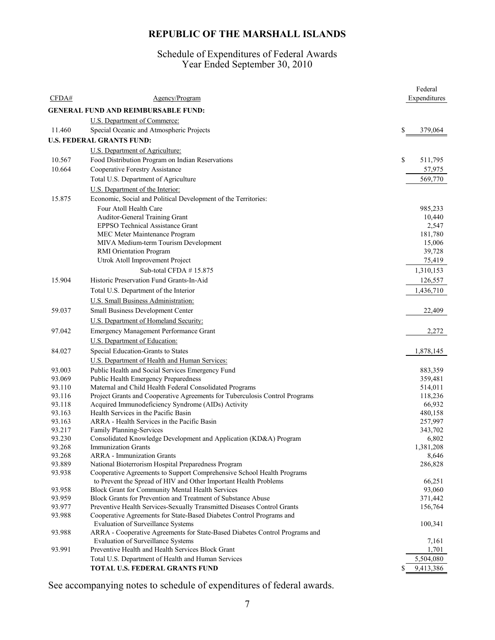### Schedule of Expenditures of Federal Awards Year Ended September 30, 2010

| CFDA#            | Agency/Program                                                                                                                    | Federal<br>Expenditures |
|------------------|-----------------------------------------------------------------------------------------------------------------------------------|-------------------------|
|                  | <b>GENERAL FUND AND REIMBURSABLE FUND:</b>                                                                                        |                         |
|                  | U.S. Department of Commerce:                                                                                                      |                         |
| 11.460           | Special Oceanic and Atmospheric Projects                                                                                          | \$<br>379,064           |
|                  | <b>U.S. FEDERAL GRANTS FUND:</b>                                                                                                  |                         |
|                  |                                                                                                                                   |                         |
| 10.567           | U.S. Department of Agriculture:                                                                                                   | \$                      |
| 10.664           | Food Distribution Program on Indian Reservations                                                                                  | 511,795                 |
|                  | Cooperative Forestry Assistance                                                                                                   | 57,975                  |
|                  | Total U.S. Department of Agriculture                                                                                              | 569,770                 |
|                  | U.S. Department of the Interior:                                                                                                  |                         |
| 15.875           | Economic, Social and Political Development of the Territories:                                                                    |                         |
|                  | Four Atoll Health Care                                                                                                            | 985,233                 |
|                  | Auditor-General Training Grant                                                                                                    | 10,440                  |
|                  | <b>EPPSO Technical Assistance Grant</b>                                                                                           | 2,547                   |
|                  | MEC Meter Maintenance Program                                                                                                     | 181,780                 |
|                  | MIVA Medium-term Tourism Development                                                                                              | 15,006                  |
|                  | RMI Orientation Program                                                                                                           | 39,728                  |
|                  | Utrok Atoll Improvement Project                                                                                                   | 75,419                  |
|                  | Sub-total CFDA #15.875                                                                                                            | 1,310,153               |
| 15.904           | Historic Preservation Fund Grants-In-Aid                                                                                          | 126,557                 |
|                  | Total U.S. Department of the Interior                                                                                             | 1,436,710               |
|                  | <b>U.S. Small Business Administration:</b>                                                                                        |                         |
| 59.037           | Small Business Development Center                                                                                                 | 22,409                  |
|                  | U.S. Department of Homeland Security:                                                                                             |                         |
| 97.042           | Emergency Management Performance Grant                                                                                            | 2,272                   |
|                  | U.S. Department of Education:                                                                                                     |                         |
| 84.027           |                                                                                                                                   |                         |
|                  | Special Education-Grants to States                                                                                                | 1,878,145               |
|                  | U.S. Department of Health and Human Services:                                                                                     |                         |
| 93.003           | Public Health and Social Services Emergency Fund                                                                                  | 883,359                 |
| 93.069           | Public Health Emergency Preparedness                                                                                              | 359,481                 |
| 93.110<br>93.116 | Maternal and Child Health Federal Consolidated Programs                                                                           | 514,011                 |
| 93.118           | Project Grants and Cooperative Agreements for Tuberculosis Control Programs<br>Acquired Immunodeficiency Syndrome (AIDs) Activity | 118,236<br>66,932       |
| 93.163           | Health Services in the Pacific Basin                                                                                              | 480,158                 |
| 93.163           | ARRA - Health Services in the Pacific Basin                                                                                       | 257,997                 |
| 93.217           | <b>Family Planning-Services</b>                                                                                                   | 343,702                 |
| 93.230           | Consolidated Knowledge Development and Application (KD&A) Program                                                                 | 6,802                   |
| 93.268           | <b>Immunization Grants</b>                                                                                                        | 1,381,208               |
| 93.268           | <b>ARRA</b> - Immunization Grants                                                                                                 | 8,646                   |
| 93.889           | National Bioterrorism Hospital Preparedness Program                                                                               | 286,828                 |
| 93.938           | Cooperative Agreements to Support Comprehensive School Health Programs                                                            |                         |
|                  | to Prevent the Spread of HIV and Other Important Health Problems                                                                  | 66,251                  |
| 93.958           | Block Grant for Community Mental Health Services                                                                                  | 93,060                  |
| 93.959           | Block Grants for Prevention and Treatment of Substance Abuse                                                                      | 371,442                 |
| 93.977           | Preventive Health Services-Sexually Transmitted Diseases Control Grants                                                           | 156,764                 |
| 93.988           | Cooperative Agreements for State-Based Diabetes Control Programs and                                                              |                         |
|                  | <b>Evaluation of Surveillance Systems</b>                                                                                         | 100,341                 |
| 93.988           | ARRA - Cooperative Agreements for State-Based Diabetes Control Programs and                                                       |                         |
|                  | <b>Evaluation of Surveillance Systems</b>                                                                                         | 7,161                   |
| 93.991           | Preventive Health and Health Services Block Grant                                                                                 | 1,701                   |
|                  | Total U.S. Department of Health and Human Services                                                                                | 5,504,080               |
|                  | TOTAL U.S. FEDERAL GRANTS FUND                                                                                                    | \$<br>9,413,386         |

See accompanying notes to schedule of expenditures of federal awards.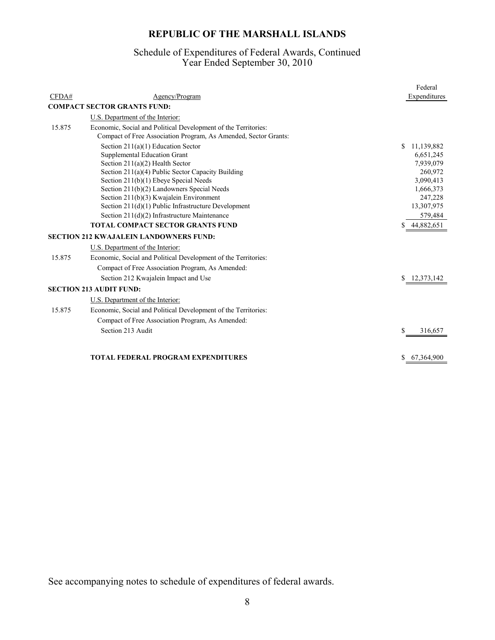### Year Ended September 30, 2010 Schedule of Expenditures of Federal Awards, Continued

| CFDA#<br>Agency/Program                                                  | Expenditures      |
|--------------------------------------------------------------------------|-------------------|
|                                                                          |                   |
| <b>COMPACT SECTOR GRANTS FUND:</b>                                       |                   |
| U.S. Department of the Interior:                                         |                   |
| 15.875<br>Economic, Social and Political Development of the Territories: |                   |
| Compact of Free Association Program, As Amended, Sector Grants:          |                   |
| Section $211(a)(1)$ Education Sector                                     | \$.<br>11,139,882 |
| Supplemental Education Grant                                             | 6,651,245         |
| Section $211(a)(2)$ Health Sector                                        | 7,939,079         |
| Section 211(a)(4) Public Sector Capacity Building                        | 260,972           |
| Section 211(b)(1) Ebeye Special Needs                                    | 3,090,413         |
| Section 211(b)(2) Landowners Special Needs                               | 1,666,373         |
| Section 211(b)(3) Kwajalein Environment                                  | 247,228           |
| Section $211(d)(1)$ Public Infrastructure Development                    | 13,307,975        |
| Section $211(d)(2)$ Infrastructure Maintenance                           | 579,484           |
| <b>TOTAL COMPACT SECTOR GRANTS FUND</b>                                  | 44,882,651        |
| <b>SECTION 212 KWAJALEIN LANDOWNERS FUND:</b>                            |                   |
| U.S. Department of the Interior:                                         |                   |
| 15.875<br>Economic, Social and Political Development of the Territories: |                   |
| Compact of Free Association Program, As Amended:                         |                   |
| Section 212 Kwajalein Impact and Use                                     | \$12,373,142      |
| <b>SECTION 213 AUDIT FUND:</b>                                           |                   |
| U.S. Department of the Interior:                                         |                   |
| 15.875<br>Economic, Social and Political Development of the Territories: |                   |
| Compact of Free Association Program, As Amended:                         |                   |
| Section 213 Audit                                                        | S.<br>316,657     |
|                                                                          |                   |
| <b>TOTAL FEDERAL PROGRAM EXPENDITURES</b>                                | \$<br>67,364,900  |

See accompanying notes to schedule of expenditures of federal awards.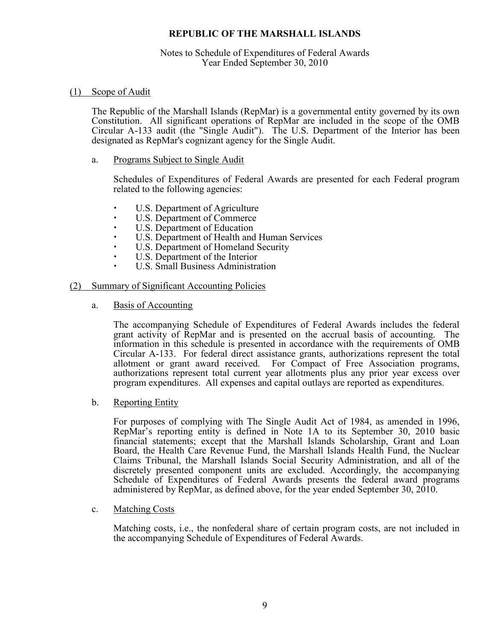### Notes to Schedule of Expenditures of Federal Awards Year Ended September 30, 2010

### (1) Scope of Audit

The Republic of the Marshall Islands (RepMar) is a governmental entity governed by its own Constitution. All significant operations of RepMar are included in the scope of the OMB Circular A-133 audit (the "Single Audit"). The U.S. Department of the Interior has been designated as RepMar's cognizant agency for the Single Audit.

a. Programs Subject to Single Audit

Schedules of Expenditures of Federal Awards are presented for each Federal program related to the following agencies:

- U.S. Department of Agriculture<br>U.S. Department of Commerce
- U.S. Department of Commerce<br>U.S. Department of Education
- U.S. Department of Education
- U.S. Department of Health and Human Services
- U.S. Department of Homeland Security
- U.S. Department of the Interior
- U.S. Small Business Administration

### (2) Summary of Significant Accounting Policies

a. Basis of Accounting

The accompanying Schedule of Expenditures of Federal Awards includes the federal grant activity of RepMar and is presented on the accrual basis of accounting. The information in this schedule is presented in accordance with the requirements of OMB Circular A-133. For federal direct assistance grants, authorizations represent the total allotment or grant award received. For Compact of Free Association programs, authorizations represent total current year allotments plus any prior year excess over program expenditures. All expenses and capital outlays are reported as expenditures.

b. Reporting Entity

For purposes of complying with The Single Audit Act of 1984, as amended in 1996, RepMar's reporting entity is defined in Note 1A to its September 30, 2010 basic financial statements; except that the Marshall Islands Scholarship, Grant and Loan Board, the Health Care Revenue Fund, the Marshall Islands Health Fund, the Nuclear Claims Tribunal, the Marshall Islands Social Security Administration, and all of the discretely presented component units are excluded. Accordingly, the accompanying Schedule of Expenditures of Federal Awards presents the federal award programs administered by RepMar, as defined above, for the year ended September 30, 2010.

c. Matching Costs

Matching costs, i.e., the nonfederal share of certain program costs, are not included in the accompanying Schedule of Expenditures of Federal Awards.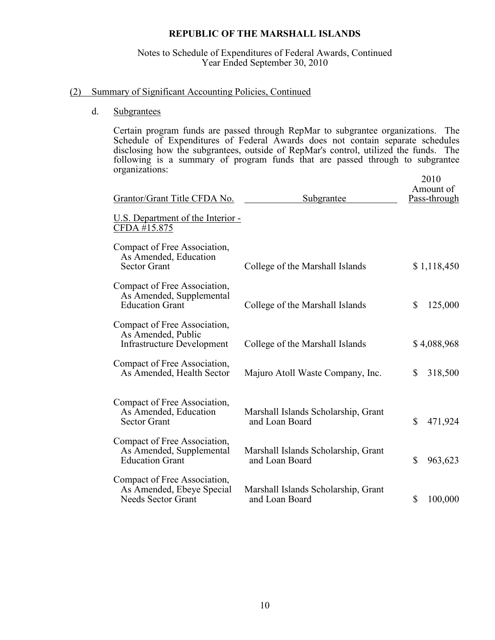### Notes to Schedule of Expenditures of Federal Awards, Continued Year Ended September 30, 2010

# (2) Summary of Significant Accounting Policies, Continued

d. Subgrantees

Certain program funds are passed through RepMar to subgrantee organizations. The Schedule of Expenditures of Federal Awards does not contain separate schedules disclosing how the subgrantees, outside of RepMar's control, utilized the funds. The following is a summary of program funds that are passed through to subgrantee organizations:

2010

| Grantor/Grant Title CFDA No.                                                            | Subgrantee                                            | Amount of<br>Pass-through |  |
|-----------------------------------------------------------------------------------------|-------------------------------------------------------|---------------------------|--|
| <u>U.S. Department of the Interior -</u><br>CFDA #15.875                                |                                                       |                           |  |
| Compact of Free Association,<br>As Amended, Education<br><b>Sector Grant</b>            | College of the Marshall Islands                       | \$1,118,450               |  |
| Compact of Free Association,<br>As Amended, Supplemental<br><b>Education Grant</b>      | College of the Marshall Islands                       | \$<br>125,000             |  |
| Compact of Free Association,<br>As Amended, Public<br><b>Infrastructure Development</b> | College of the Marshall Islands                       | \$4,088,968               |  |
| Compact of Free Association,<br>As Amended, Health Sector                               | Majuro Atoll Waste Company, Inc.                      | \$<br>318,500             |  |
| Compact of Free Association,<br>As Amended, Education<br><b>Sector Grant</b>            | Marshall Islands Scholarship, Grant<br>and Loan Board | $\mathbb{S}$<br>471,924   |  |
| Compact of Free Association,<br>As Amended, Supplemental<br><b>Education Grant</b>      | Marshall Islands Scholarship, Grant<br>and Loan Board | \$<br>963,623             |  |
| Compact of Free Association,<br>As Amended, Ebeye Special<br><b>Needs Sector Grant</b>  | Marshall Islands Scholarship, Grant<br>and Loan Board | \$<br>100,000             |  |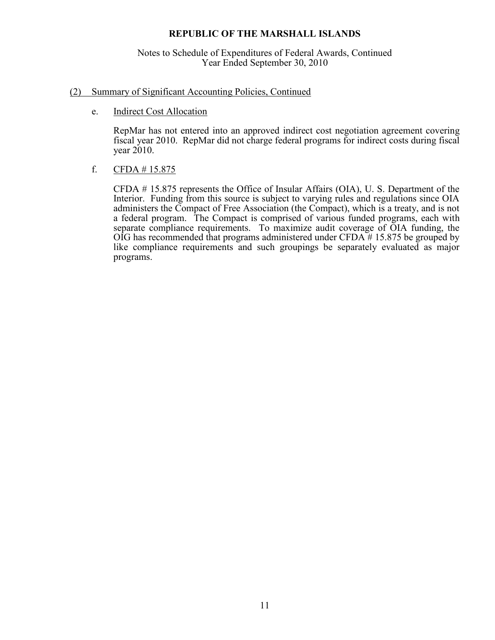### Notes to Schedule of Expenditures of Federal Awards, Continued Year Ended September 30, 2010

# (2) Summary of Significant Accounting Policies, Continued

e. Indirect Cost Allocation

RepMar has not entered into an approved indirect cost negotiation agreement covering fiscal year 2010. RepMar did not charge federal programs for indirect costs during fiscal year 2010.

f. CFDA  $# 15.875$ 

CFDA # 15.875 represents the Office of Insular Affairs (OIA), U. S. Department of the Interior. Funding from this source is subject to varying rules and regulations since OIA administers the Compact of Free Association (the Compact), which is a treaty, and is not a federal program. The Compact is comprised of various funded programs, each with separate compliance requirements. To maximize audit coverage of OIA funding, the OIG has recommended that programs administered under CFDA  $# 15.875$  be grouped by like compliance requirements and such groupings be separately evaluated as major programs.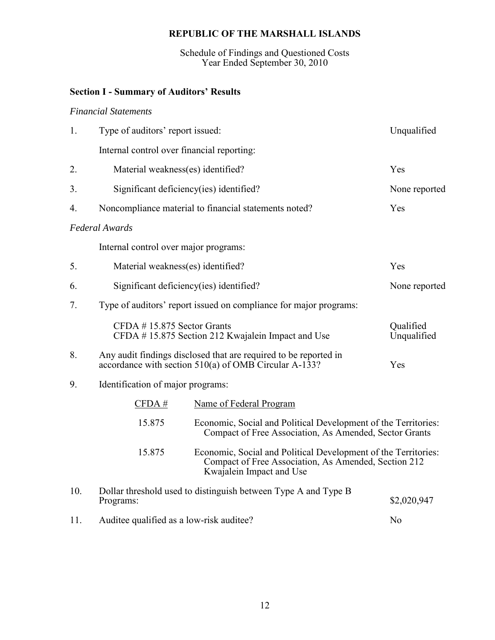Schedule of Findings and Questioned Costs Year Ended September 30, 2010

# **Section I - Summary of Auditors' Results**

# *Financial Statements*

| 1.  | Type of auditors' report issued:<br>Unqualified                                                                                    |                                                                                                                                                    |                          |  |  |  |
|-----|------------------------------------------------------------------------------------------------------------------------------------|----------------------------------------------------------------------------------------------------------------------------------------------------|--------------------------|--|--|--|
|     | Internal control over financial reporting:                                                                                         |                                                                                                                                                    |                          |  |  |  |
| 2.  | Material weakness(es) identified?                                                                                                  |                                                                                                                                                    | Yes                      |  |  |  |
| 3.  |                                                                                                                                    | Significant deficiency(ies) identified?                                                                                                            | None reported            |  |  |  |
| 4.  | Noncompliance material to financial statements noted?                                                                              | Yes                                                                                                                                                |                          |  |  |  |
|     | <b>Federal Awards</b>                                                                                                              |                                                                                                                                                    |                          |  |  |  |
|     | Internal control over major programs:                                                                                              |                                                                                                                                                    |                          |  |  |  |
| 5.  | Material weakness(es) identified?<br>Yes                                                                                           |                                                                                                                                                    |                          |  |  |  |
| 6.  | Significant deficiency (ies) identified?<br>None reported                                                                          |                                                                                                                                                    |                          |  |  |  |
| 7.  | Type of auditors' report issued on compliance for major programs:                                                                  |                                                                                                                                                    |                          |  |  |  |
|     | CFDA #15.875 Sector Grants                                                                                                         | CFDA #15.875 Section 212 Kwajalein Impact and Use                                                                                                  | Qualified<br>Unqualified |  |  |  |
| 8.  | Any audit findings disclosed that are required to be reported in<br>accordance with section $510(a)$ of OMB Circular A-133?<br>Yes |                                                                                                                                                    |                          |  |  |  |
| 9.  | Identification of major programs:                                                                                                  |                                                                                                                                                    |                          |  |  |  |
|     | CFDA#                                                                                                                              | Name of Federal Program                                                                                                                            |                          |  |  |  |
|     | 15.875                                                                                                                             | Economic, Social and Political Development of the Territories:<br>Compact of Free Association, As Amended, Sector Grants                           |                          |  |  |  |
|     | 15.875                                                                                                                             | Economic, Social and Political Development of the Territories:<br>Compact of Free Association, As Amended, Section 212<br>Kwajalein Impact and Use |                          |  |  |  |
| 10. | Programs:                                                                                                                          | Dollar threshold used to distinguish between Type A and Type B                                                                                     | \$2,020,947              |  |  |  |
| 11. | Auditee qualified as a low-risk auditee?<br>N <sub>0</sub>                                                                         |                                                                                                                                                    |                          |  |  |  |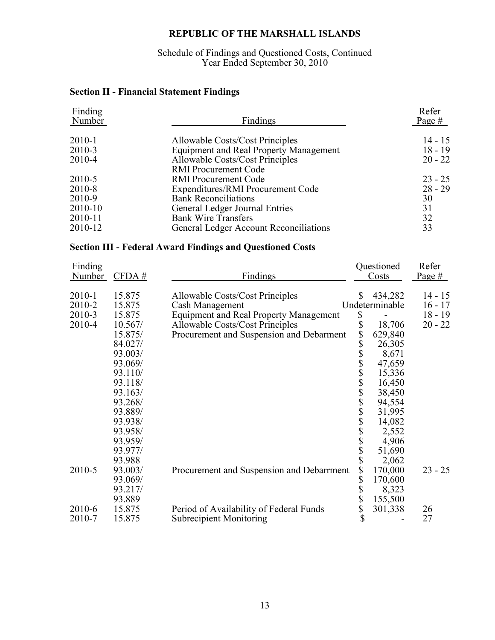#### Schedule of Findings and Questioned Costs, Continued Year Ended September 30, 2010

# **Section II - Financial Statement Findings**

| Finding<br>Number | Findings                                      | Refer<br>Page $#$ |
|-------------------|-----------------------------------------------|-------------------|
| $2010 - 1$        | Allowable Costs/Cost Principles               | $14 - 15$         |
| 2010-3            | <b>Equipment and Real Property Management</b> | $18 - 19$         |
| 2010-4            | Allowable Costs/Cost Principles               | $20 - 22$         |
|                   | <b>RMI</b> Procurement Code                   |                   |
| 2010-5            | <b>RMI</b> Procurement Code                   | $23 - 25$         |
| 2010-8            | <b>Expenditures/RMI Procurement Code</b>      | $28 - 29$         |
| 2010-9            | <b>Bank Reconciliations</b>                   | 30                |
| 2010-10           | General Ledger Journal Entries                | 31                |
| 2010-11           | <b>Bank Wire Transfers</b>                    | 32                |
| 2010-12           | <b>General Ledger Account Reconciliations</b> | 33                |

# **Section III - Federal Award Findings and Questioned Costs**

| Finding<br>Number | CFDA#   | <b>Findings</b>                               |    | Questioned<br>Costs | Refer<br>Page $#$ |
|-------------------|---------|-----------------------------------------------|----|---------------------|-------------------|
| 2010-1            | 15.875  | Allowable Costs/Cost Principles               | S  | 434,282             | 14 - 15           |
| 2010-2            | 15.875  | Cash Management                               |    | Undeterminable      | $16 - 17$         |
| 2010-3            | 15.875  | <b>Equipment and Real Property Management</b> | \$ |                     | $18 - 19$         |
| 2010-4            | 10.567/ | Allowable Costs/Cost Principles               | \$ | 18,706              | $20 - 22$         |
|                   | 15.875/ | Procurement and Suspension and Debarment      | \$ | 629,840             |                   |
|                   | 84.027/ |                                               |    | 26,305              |                   |
|                   | 93.003/ |                                               |    | 8,671               |                   |
|                   | 93.069/ |                                               |    | 47,659              |                   |
|                   | 93.110/ |                                               |    | 15,336              |                   |
|                   | 93.118/ |                                               |    | 16,450              |                   |
|                   | 93.163/ |                                               |    | 38,450              |                   |
|                   | 93.268/ |                                               |    | 94,554              |                   |
|                   | 93.889/ |                                               |    | 31,995              |                   |
|                   | 93.938/ |                                               |    | 14,082              |                   |
|                   | 93.958/ |                                               |    | 2,552               |                   |
|                   | 93.959/ |                                               |    | 4,906               |                   |
|                   | 93.977/ |                                               |    | 51,690              |                   |
|                   | 93.988  |                                               | \$ | 2,062               |                   |
| 2010-5            | 93.003/ | Procurement and Suspension and Debarrment     | \$ | 170,000             | $23 - 25$         |
|                   | 93.069/ |                                               | \$ | 170,600             |                   |
|                   | 93.217/ |                                               | \$ | 8,323               |                   |
|                   | 93.889  |                                               |    | 155,500             |                   |
| 2010-6            | 15.875  | Period of Availability of Federal Funds       | \$ | 301,338             | 26                |
| 2010-7            | 15.875  | <b>Subrecipient Monitoring</b>                | \$ |                     | 27                |
|                   |         |                                               |    |                     |                   |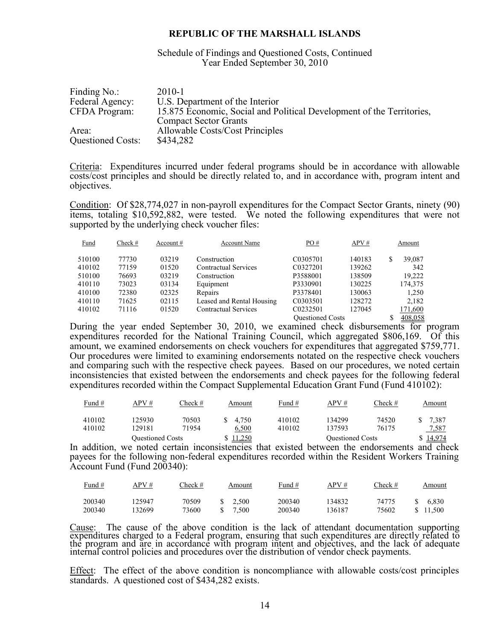Schedule of Findings and Questioned Costs, Continued Year Ended September 30, 2010

| Finding No.:             | $2010 - 1$                                                            |
|--------------------------|-----------------------------------------------------------------------|
| Federal Agency:          | U.S. Department of the Interior                                       |
| CFDA Program:            | 15.875 Economic, Social and Political Development of the Territories, |
|                          | <b>Compact Sector Grants</b>                                          |
| Area:                    | Allowable Costs/Cost Principles                                       |
| <b>Questioned Costs:</b> | \$434,282                                                             |

Criteria: Expenditures incurred under federal programs should be in accordance with allowable costs/cost principles and should be directly related to, and in accordance with, program intent and objectives.

Condition: Of \$28,774,027 in non-payroll expenditures for the Compact Sector Grants, ninety (90) items, totaling \$10,592,882, were tested. We noted the following expenditures that were not supported by the underlying check voucher files:

| Fund   | Check # | Account $#$ | <b>Account Name</b>         | PO#                     | APV#   | Amount       |
|--------|---------|-------------|-----------------------------|-------------------------|--------|--------------|
| 510100 | 77730   | 03219       | Construction                | C0305701                | 140183 | 39,087<br>S  |
| 410102 | 77159   | 01520       | <b>Contractual Services</b> | C <sub>0</sub> 327201   | 139262 | 342          |
| 510100 | 76693   | 03219       | Construction                | P3588001                | 138509 | 19,222       |
| 410110 | 73023   | 03134       | Equipment                   | P3330901                | 130225 | 174,375      |
| 410100 | 72380   | 02325       | Repairs                     | P3378401                | 130063 | 1,250        |
| 410110 | 71625   | 02115       | Leased and Rental Housing   | C0303501                | 128272 | 2,182        |
| 410102 | 71116   | 01520       | <b>Contractual Services</b> | C0232501                | 127045 | 171,600      |
|        |         |             |                             | <b>Ouestioned Costs</b> |        | 408,058<br>S |

During the year ended September 30, 2010, we examined check disbursements for program expenditures recorded for the National Training Council, which aggregated \$806,169. Of this amount, we examined endorsements on check vouchers for expenditures that aggregated \$759,771. Our procedures were limited to examining endorsements notated on the respective check vouchers and comparing such with the respective check payees. Based on our procedures, we noted certain inconsistencies that existed between the endorsements and check payees for the following federal expenditures recorded within the Compact Supplemental Education Grant Fund (Fund 410102):

| Fund $#$         | APV #                   | Check #        | Amount                | Fund $#$         | APV#                    | Check #        | Amount         |
|------------------|-------------------------|----------------|-----------------------|------------------|-------------------------|----------------|----------------|
| 410102<br>410102 | 25930<br>29181          | 70503<br>71954 | 4.750<br><u>6,500</u> | 410102<br>410102 | 34299<br>137593         | 74520<br>76175 | 7.387<br>7,587 |
|                  | <b>Ouestioned Costs</b> |                | <u>11,250</u>         |                  | <b>Questioned Costs</b> |                | <u>14,974</u>  |

In addition, we noted certain inconsistencies that existed between the endorsements and check payees for the following non-federal expenditures recorded within the Resident Workers Training Account Fund (Fund 200340):

| Fund #           | APV #            | Check #        | Amount         | Fund #           | APV #            | -heck #        | Amount                |
|------------------|------------------|----------------|----------------|------------------|------------------|----------------|-----------------------|
| 200340<br>200340 | 125947<br>.32699 | 70509<br>73600 | 2.500<br>7.500 | 200340<br>200340 | 134832<br>136187 | 74775<br>75602 | 6.830<br>S.<br>11.500 |

Cause: The cause of the above condition is the lack of attendant documentation supporting expenditures charged to a Federal program, ensuring that such expenditures are directly related to the program and are in accordance with program intent and objectives, and the lack of adequate internal control policies and procedures over the distribution of vendor check payments.

Effect: The effect of the above condition is noncompliance with allowable costs/cost principles standards. A questioned cost of \$434,282 exists.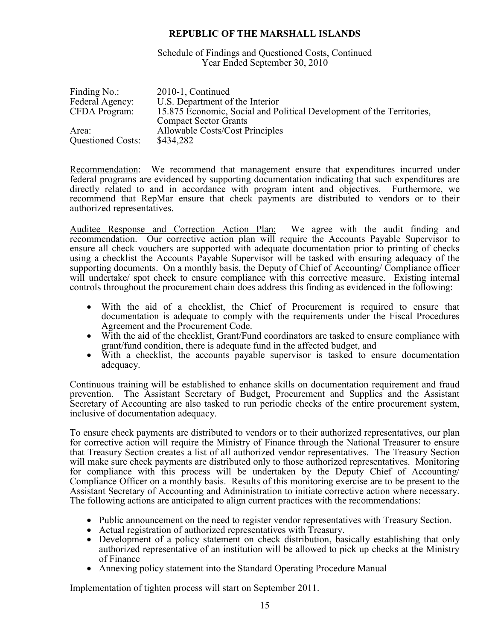Schedule of Findings and Questioned Costs, Continued Year Ended September 30, 2010

| Finding No.:             | 2010-1, Continued                                                     |
|--------------------------|-----------------------------------------------------------------------|
| Federal Agency:          | U.S. Department of the Interior                                       |
| CFDA Program:            | 15.875 Economic, Social and Political Development of the Territories, |
|                          | <b>Compact Sector Grants</b>                                          |
| Area:                    | Allowable Costs/Cost Principles                                       |
| <b>Questioned Costs:</b> | \$434,282                                                             |

Recommendation: We recommend that management ensure that expenditures incurred under federal programs are evidenced by supporting documentation indicating that such expenditures are directly related to and in accordance with program intent and objectives. Furthermore, we recommend that RepMar ensure that check payments are distributed to vendors or to their authorized representatives.

Auditee Response and Correction Action Plan: We agree with the audit finding and recommendation. Our corrective action plan will require the Accounts Payable Supervisor to ensure all check vouchers are supported with adequate documentation prior to printing of checks using a checklist the Accounts Payable Supervisor will be tasked with ensuring adequacy of the supporting documents. On a monthly basis, the Deputy of Chief of Accounting/ Compliance officer will undertake/ spot check to ensure compliance with this corrective measure. Existing internal controls throughout the procurement chain does address this finding as evidenced in the following:

- With the aid of a checklist, the Chief of Procurement is required to ensure that documentation is adequate to comply with the requirements under the Fiscal Procedures Agreement and the Procurement Code.
- With the aid of the checklist, Grant/Fund coordinators are tasked to ensure compliance with grant/fund condition, there is adequate fund in the affected budget, and
- With a checklist, the accounts payable supervisor is tasked to ensure documentation adequacy.

Continuous training will be established to enhance skills on documentation requirement and fraud prevention. The Assistant Secretary of Budget, Procurement and Supplies and the Assistant Secretary of Accounting are also tasked to run periodic checks of the entire procurement system, inclusive of documentation adequacy.

To ensure check payments are distributed to vendors or to their authorized representatives, our plan for corrective action will require the Ministry of Finance through the National Treasurer to ensure that Treasury Section creates a list of all authorized vendor representatives. The Treasury Section will make sure check payments are distributed only to those authorized representatives. Monitoring for compliance with this process will be undertaken by the Deputy Chief of Accounting/ Compliance Officer on a monthly basis. Results of this monitoring exercise are to be present to the Assistant Secretary of Accounting and Administration to initiate corrective action where necessary. The following actions are anticipated to align current practices with the recommendations:

- Public announcement on the need to register vendor representatives with Treasury Section.
- Actual registration of authorized representatives with Treasury.
- Development of a policy statement on check distribution, basically establishing that only authorized representative of an institution will be allowed to pick up checks at the Ministry of Finance
- Annexing policy statement into the Standard Operating Procedure Manual

Implementation of tighten process will start on September 2011.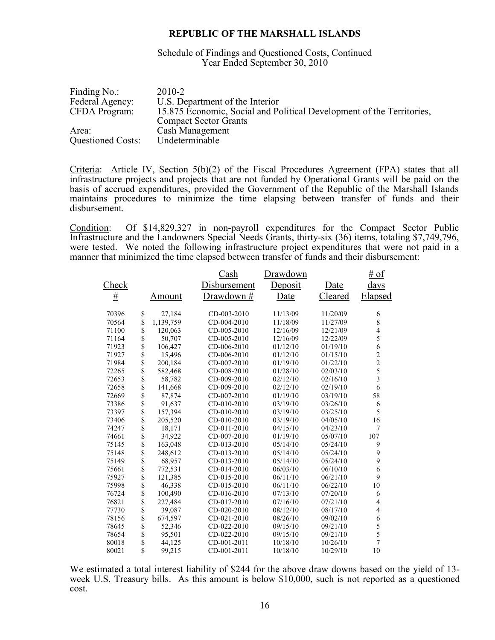Schedule of Findings and Questioned Costs, Continued Year Ended September 30, 2010

| Finding No.:             | 2010-2                                                                |
|--------------------------|-----------------------------------------------------------------------|
| Federal Agency:          | U.S. Department of the Interior                                       |
| CFDA Program:            | 15.875 Economic, Social and Political Development of the Territories, |
|                          | <b>Compact Sector Grants</b>                                          |
| Area:                    | Cash Management                                                       |
| <b>Questioned Costs:</b> | Undeterminable                                                        |

Criteria: Article IV, Section 5(b)(2) of the Fiscal Procedures Agreement (FPA) states that all infrastructure projects and projects that are not funded by Operational Grants will be paid on the basis of accrued expenditures, provided the Government of the Republic of the Marshall Islands maintains procedures to minimize the time elapsing between transfer of funds and their disbursement.

Condition: Of \$14,829,327 in non-payroll expenditures for the Compact Sector Public Infrastructure and the Landowners Special Needs Grants, thirty-six (36) items, totaling \$7,749,796, were tested. We noted the following infrastructure project expenditures that were not paid in a manner that minimized the time elapsed between transfer of funds and their disbursement:

| <u>Check</u> |                 | Cash<br>Disbursement | Drawdown<br>Deposit | <b>Date</b>    | # of<br><u>days</u>      |
|--------------|-----------------|----------------------|---------------------|----------------|--------------------------|
| $\#$         | Amount          | Drawdown #           | Date                | <b>Cleared</b> | <b>Elapsed</b>           |
|              |                 |                      |                     |                |                          |
| 70396        | \$<br>27,184    | CD-003-2010          | 11/13/09            | 11/20/09       | 6                        |
| 70564        | \$<br>1,139,759 | CD-004-2010          | 11/18/09            | 11/27/09       | 8                        |
| 71100        | \$<br>120,063   | CD-005-2010          | 12/16/09            | 12/21/09       | $\overline{4}$           |
| 71164        | \$<br>50,707    | CD-005-2010          | 12/16/09            | 12/22/09       | 5                        |
| 71923        | \$<br>106,427   | CD-006-2010          | 01/12/10            | 01/19/10       | 6                        |
| 71927        | \$<br>15,496    | CD-006-2010          | 01/12/10            | 01/15/10       | $\overline{c}$           |
| 71984        | \$<br>200,184   | CD-007-2010          | 01/19/10            | 01/22/10       | $\overline{c}$           |
| 72265        | \$<br>582,468   | CD-008-2010          | 01/28/10            | 02/03/10       | 5                        |
| 72653        | \$<br>58,782    | CD-009-2010          | 02/12/10            | 02/16/10       | 3                        |
| 72658        | \$<br>141,668   | CD-009-2010          | 02/12/10            | 02/19/10       | 6                        |
| 72669        | \$<br>87,874    | CD-007-2010          | 01/19/10            | 03/19/10       | 58                       |
| 73386        | \$<br>91,637    | CD-010-2010          | 03/19/10            | 03/26/10       | 6                        |
| 73397        | \$<br>157,394   | CD-010-2010          | 03/19/10            | 03/25/10       | 5                        |
| 73406        | \$<br>205,520   | CD-010-2010          | 03/19/10            | 04/05/10       | 16                       |
| 74247        | \$<br>18,171    | CD-011-2010          | 04/15/10            | 04/23/10       | 7                        |
| 74661        | \$<br>34.922    | CD-007-2010          | 01/19/10            | 05/07/10       | 107                      |
| 75145        | \$<br>163,048   | CD-013-2010          | 05/14/10            | 05/24/10       | 9                        |
| 75148        | \$<br>248,612   | CD-013-2010          | 05/14/10            | 05/24/10       | 9                        |
| 75149        | \$<br>68,957    | CD-013-2010          | 05/14/10            | 05/24/10       | 9                        |
| 75661        | \$<br>772,531   | CD-014-2010          | 06/03/10            | 06/10/10       | 6                        |
| 75927        | \$<br>121,385   | CD-015-2010          | 06/11/10            | 06/21/10       | 9                        |
| 75998        | \$<br>46,338    | CD-015-2010          | 06/11/10            | 06/22/10       | 10                       |
| 76724        | \$<br>100,490   | CD-016-2010          | 07/13/10            | 07/20/10       | 6                        |
| 76821        | \$<br>227,484   | CD-017-2010          | 07/16/10            | 07/21/10       | $\overline{4}$           |
| 77730        | \$<br>39,087    | CD-020-2010          | 08/12/10            | 08/17/10       | $\overline{\mathcal{L}}$ |
| 78156        | \$<br>674,597   | CD-021-2010          | 08/26/10            | 09/02/10       | 6                        |
| 78645        | \$<br>52,346    | CD-022-2010          | 09/15/10            | 09/21/10       | 5                        |
| 78654        | \$<br>95,501    | CD-022-2010          | 09/15/10            | 09/21/10       | 5                        |
| 80018        | \$<br>44,125    | CD-001-2011          | 10/18/10            | 10/26/10       | $\overline{7}$           |
| 80021        | \$<br>99.215    | CD-001-2011          | 10/18/10            | 10/29/10       | 10                       |

We estimated a total interest liability of \$244 for the above draw downs based on the yield of 13week U.S. Treasury bills. As this amount is below \$10,000, such is not reported as a questioned cost.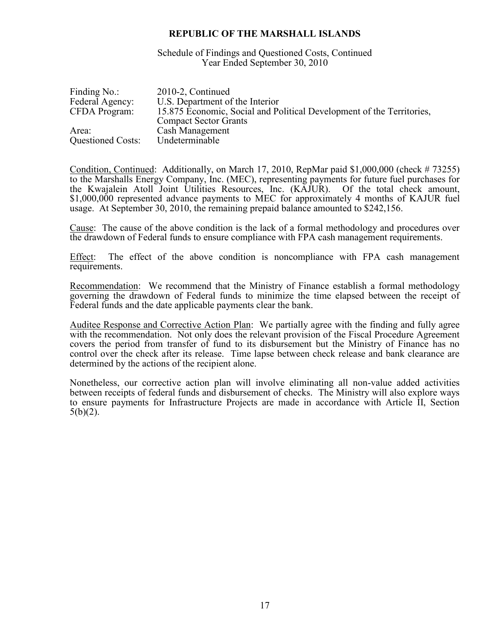Schedule of Findings and Questioned Costs, Continued Year Ended September 30, 2010

| Finding No.:             | $2010-2$ , Continued                                                  |
|--------------------------|-----------------------------------------------------------------------|
| Federal Agency:          | U.S. Department of the Interior                                       |
| CFDA Program:            | 15.875 Economic, Social and Political Development of the Territories, |
|                          | <b>Compact Sector Grants</b>                                          |
| Area:                    | Cash Management                                                       |
| <b>Questioned Costs:</b> | Undeterminable                                                        |

Condition, Continued: Additionally, on March 17, 2010, RepMar paid \$1,000,000 (check # 73255) to the Marshalls Energy Company, Inc. (MEC), representing payments for future fuel purchases for the Kwajalein Atoll Joint Utilities Resources, Inc. (KAJUR). \$1,000,000 represented advance payments to MEC for approximately 4 months of KAJUR fuel usage. At September 30, 2010, the remaining prepaid balance amounted to \$242,156.

Cause: The cause of the above condition is the lack of a formal methodology and procedures over the drawdown of Federal funds to ensure compliance with FPA cash management requirements.

Effect: The effect of the above condition is noncompliance with FPA cash management requirements.

Recommendation: We recommend that the Ministry of Finance establish a formal methodology governing the drawdown of Federal funds to minimize the time elapsed between the receipt of Federal funds and the date applicable payments clear the bank.

Auditee Response and Corrective Action Plan: We partially agree with the finding and fully agree with the recommendation. Not only does the relevant provision of the Fiscal Procedure Agreement covers the period from transfer of fund to its disbursement but the Ministry of Finance has no control over the check after its release. Time lapse between check release and bank clearance are determined by the actions of the recipient alone.

Nonetheless, our corrective action plan will involve eliminating all non-value added activities between receipts of federal funds and disbursement of checks. The Ministry will also explore ways to ensure payments for Infrastructure Projects are made in accordance with Article II, Section  $5(b)(2)$ .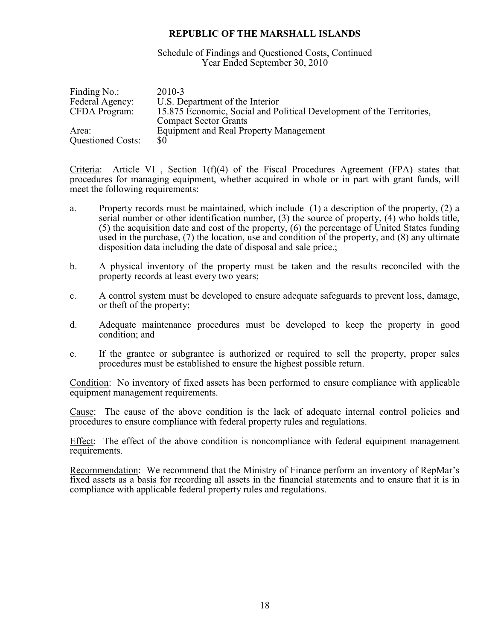Schedule of Findings and Questioned Costs, Continued Year Ended September 30, 2010

| Finding No.:             | $2010 - 3$                                                                                            |
|--------------------------|-------------------------------------------------------------------------------------------------------|
| Federal Agency:          | U.S. Department of the Interior                                                                       |
| CFDA Program:            | 15.875 Economic, Social and Political Development of the Territories,<br><b>Compact Sector Grants</b> |
| Area:                    | Equipment and Real Property Management                                                                |
| <b>Questioned Costs:</b> | \$0                                                                                                   |

Criteria: Article VI , Section 1(f)(4) of the Fiscal Procedures Agreement (FPA) states that procedures for managing equipment, whether acquired in whole or in part with grant funds, will meet the following requirements:

- a. Property records must be maintained, which include (1) a description of the property, (2) a serial number or other identification number, (3) the source of property, (4) who holds title, (5) the acquisition date and cost of the property, (6) the percentage of United States funding used in the purchase, (7) the location, use and condition of the property, and (8) any ultimate disposition data including the date of disposal and sale price.;
- b. A physical inventory of the property must be taken and the results reconciled with the property records at least every two years;
- c. A control system must be developed to ensure adequate safeguards to prevent loss, damage, or theft of the property;
- d. Adequate maintenance procedures must be developed to keep the property in good condition; and
- e. If the grantee or subgrantee is authorized or required to sell the property, proper sales procedures must be established to ensure the highest possible return.

Condition: No inventory of fixed assets has been performed to ensure compliance with applicable equipment management requirements.

Cause: The cause of the above condition is the lack of adequate internal control policies and procedures to ensure compliance with federal property rules and regulations.

Effect: The effect of the above condition is noncompliance with federal equipment management requirements.

Recommendation: We recommend that the Ministry of Finance perform an inventory of RepMar's fixed assets as a basis for recording all assets in the financial statements and to ensure that it is in compliance with applicable federal property rules and regulations.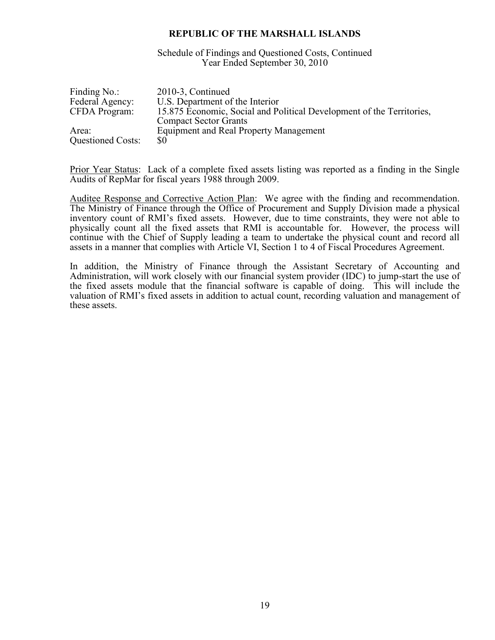Schedule of Findings and Questioned Costs, Continued Year Ended September 30, 2010

| Finding No.:             | $2010-3$ , Continued                                                  |
|--------------------------|-----------------------------------------------------------------------|
| Federal Agency:          | U.S. Department of the Interior                                       |
| CFDA Program:            | 15.875 Economic, Social and Political Development of the Territories, |
|                          | <b>Compact Sector Grants</b>                                          |
| Area:                    | Equipment and Real Property Management                                |
| <b>Questioned Costs:</b> | \$0                                                                   |

Prior Year Status: Lack of a complete fixed assets listing was reported as a finding in the Single Audits of RepMar for fiscal years 1988 through 2009.

Auditee Response and Corrective Action Plan: We agree with the finding and recommendation. The Ministry of Finance through the Office of Procurement and Supply Division made a physical inventory count of RMI's fixed assets. However, due to time constraints, they were not able to physically count all the fixed assets that RMI is accountable for. However, the process will continue with the Chief of Supply leading a team to undertake the physical count and record all assets in a manner that complies with Article VI, Section 1 to 4 of Fiscal Procedures Agreement.

In addition, the Ministry of Finance through the Assistant Secretary of Accounting and Administration, will work closely with our financial system provider (IDC) to jump-start the use of the fixed assets module that the financial software is capable of doing. This will include the valuation of RMI's fixed assets in addition to actual count, recording valuation and management of these assets.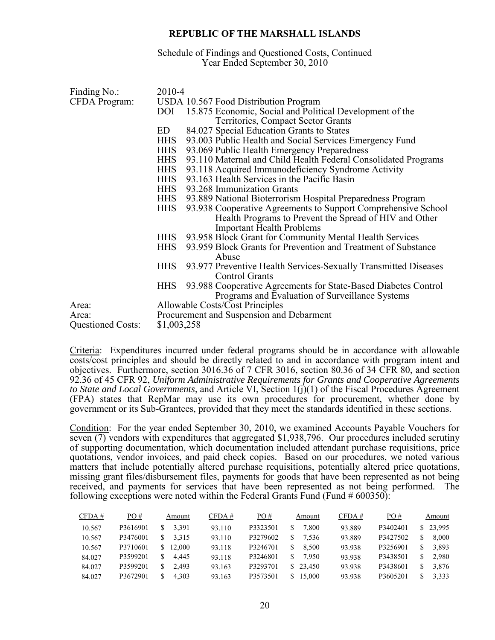Schedule of Findings and Questioned Costs, Continued Year Ended September 30, 2010

| Finding No.:     | 2010-4     |                                                                 |
|------------------|------------|-----------------------------------------------------------------|
| CFDA Program:    |            | USDA 10.567 Food Distribution Program                           |
|                  | DOI        | 15.875 Economic, Social and Political Development of the        |
|                  |            | Territories, Compact Sector Grants                              |
|                  | ED         | 84.027 Special Education Grants to States                       |
|                  | <b>HHS</b> | 93.003 Public Health and Social Services Emergency Fund         |
|                  | <b>HHS</b> | 93.069 Public Health Emergency Preparedness                     |
|                  | <b>HHS</b> | 93.110 Maternal and Child Health Federal Consolidated Programs  |
|                  | <b>HHS</b> | 93.118 Acquired Immunodeficiency Syndrome Activity              |
|                  | <b>HHS</b> | 93.163 Health Services in the Pacific Basin                     |
|                  | <b>HHS</b> | 93.268 Immunization Grants                                      |
|                  | <b>HHS</b> | 93.889 National Bioterrorism Hospital Preparedness Program      |
|                  | <b>HHS</b> | 93.938 Cooperative Agreements to Support Comprehensive School   |
|                  |            | Health Programs to Prevent the Spread of HIV and Other          |
|                  |            | <b>Important Health Problems</b>                                |
|                  |            | HHS 93.958 Block Grant for Community Mental Health Services     |
|                  | <b>HHS</b> | 93.959 Block Grants for Prevention and Treatment of Substance   |
|                  |            | Abuse                                                           |
|                  | <b>HHS</b> | 93.977 Preventive Health Services-Sexually Transmitted Diseases |
|                  |            | <b>Control Grants</b>                                           |
|                  | <b>HHS</b> | 93.988 Cooperative Agreements for State-Based Diabetes Control  |
|                  |            | Programs and Evaluation of Surveillance Systems                 |
| Area:            |            | Allowable Costs/Cost Principles                                 |
| Area:            |            | Procurement and Suspension and Debarment                        |
| Questional Costs | 01 002 750 |                                                                 |

Questioned Costs: \$1,003,258

Criteria: Expenditures incurred under federal programs should be in accordance with allowable costs/cost principles and should be directly related to and in accordance with program intent and objectives. Furthermore, section 3016.36 of 7 CFR 3016, section 80.36 of 34 CFR 80, and section 92.36 of 45 CFR 92, *Uniform Administrative Requirements for Grants and Cooperative Agreements to State and Local Governments*, and Article VI, Section 1(j)(1) of the Fiscal Procedures Agreement (FPA) states that RepMar may use its own procedures for procurement, whether done by government or its Sub-Grantees, provided that they meet the standards identified in these sections.

Condition: For the year ended September 30, 2010, we examined Accounts Payable Vouchers for seven (7) vendors with expenditures that aggregated \$1,938,796. Our procedures included scrutiny of supporting documentation, which documentation included attendant purchase requisitions, price quotations, vendor invoices, and paid check copies. Based on our procedures, we noted various matters that include potentially altered purchase requisitions, potentially altered price quotations, missing grant files/disbursement files, payments for goods that have been represented as not being received, and payments for services that have been represented as not being performed. The following exceptions were noted within the Federal Grants Fund (Fund  $\#600350$ ):

| CFDA#  | PO#      | Amount      | CFDA#  | PO#      | Amount       | CFDA#  | PO#      | Amount   |
|--------|----------|-------------|--------|----------|--------------|--------|----------|----------|
| 10.567 | P3616901 | 3.391<br>S. | 93.110 | P3323501 | 7.800<br>S.  | 93.889 | P3402401 | \$23,995 |
| 10.567 | P3476001 | 3.315       | 93.110 | P3279602 | 7.536        | 93.889 | P3427502 | 8.000    |
| 10.567 | P3710601 | 12.000      | 93.118 | P3246701 | 8.500<br>S.  | 93.938 | P3256901 | 3.893    |
| 84.027 | P3599201 | 4.445<br>S. | 93.118 | P3246801 | 7.950<br>S.  | 93.938 | P3438501 | 2.980    |
| 84.027 | P3599201 | 2.493       | 93.163 | P3293701 | \$23.450     | 93.938 | P3438601 | 3,876    |
| 84.027 | P3672901 | 4.303       | 93.163 | P3573501 | 15,000<br>S. | 93.938 | P3605201 | 3.333    |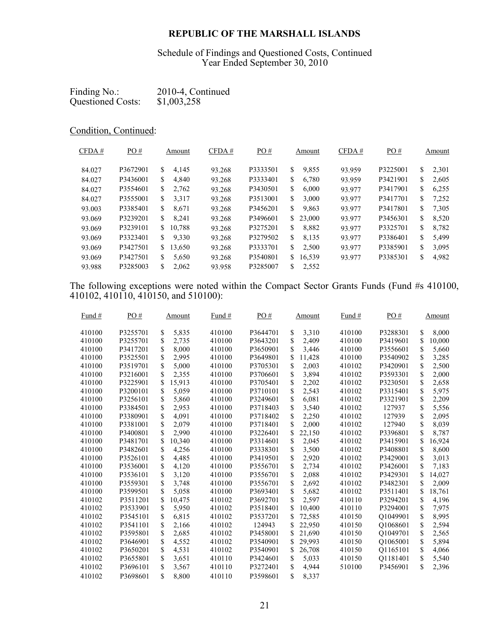Schedule of Findings and Questioned Costs, Continued Year Ended September 30, 2010

Finding No.: 2010-4, Continued<br>Questioned Costs: \$1,003,258 Questioned Costs:

# Condition, Continued:

| CFDA#  | PO#      | Amount       | CFDA#  | PO#      | Amount       | CFDA#  | PO#      |    | Amount |
|--------|----------|--------------|--------|----------|--------------|--------|----------|----|--------|
| 84.027 | P3672901 | \$<br>4,145  | 93.268 | P3333501 | S.<br>9,855  | 93.959 | P3225001 | \$ | 2,301  |
| 84.027 | P3436001 | \$<br>4,840  | 93.268 | P3333401 | \$<br>6,780  | 93.959 | P3421901 | S. | 2,605  |
| 84.027 | P3554601 | \$<br>2,762  | 93.268 | P3430501 | \$<br>6,000  | 93.977 | P3417901 | \$ | 6,255  |
| 84.027 | P3555001 | \$<br>3,317  | 93.268 | P3513001 | S.<br>3.000  | 93.977 | P3417701 | \$ | 7.252  |
| 93.003 | P3385401 | S.<br>8,671  | 93.268 | P3456201 | S.<br>9.863  | 93.977 | P3417801 | \$ | 7.305  |
| 93.069 | P3239201 | S.<br>8.241  | 93.268 | P3496601 | \$23,000     | 93.977 | P3456301 | S  | 8,520  |
| 93.069 | P3239101 | 10.788<br>S. | 93.268 | P3275201 | S.<br>8.882  | 93.977 | P3325701 | \$ | 8,782  |
| 93.069 | P3323401 | 9.330<br>S.  | 93.268 | P3279502 | S.<br>8.135  | 93.977 | P3386401 | \$ | 5.499  |
| 93.069 | P3427501 | 13,650<br>S. | 93.268 | P3333701 | S.<br>2,500  | 93.977 | P3385901 | \$ | 3,095  |
| 93.069 | P3427501 | \$<br>5,650  | 93.268 | P3540801 | \$<br>16,539 | 93.977 | P3385301 | \$ | 4,982  |
| 93.988 | P3285003 | \$<br>2,062  | 93.958 | P3285007 | \$<br>2,552  |        |          |    |        |

The following exceptions were noted within the Compact Sector Grants Funds (Fund #s 410100, 410102, 410110, 410150, and 510100):

| Fund # | PO#      | Amount       | Fund # | PO#      |    | Amount | Fund # | PO#      |    | Amount |
|--------|----------|--------------|--------|----------|----|--------|--------|----------|----|--------|
| 410100 | P3255701 | \$<br>5,835  | 410100 | P3644701 | \$ | 3,310  | 410100 | P3288301 | S  | 8,000  |
| 410100 | P3255701 | \$<br>2,735  | 410100 | P3643201 | \$ | 2,409  | 410100 | P3419601 | \$ | 10,000 |
| 410100 | P3417201 | \$<br>8,000  | 410100 | P3650901 | \$ | 3,446  | 410100 | P3556601 | \$ | 5,660  |
| 410100 | P3525501 | \$<br>2,995  | 410100 | P3649801 | \$ | 11,428 | 410100 | P3540902 | \$ | 3,285  |
| 410100 | P3519701 | \$<br>5,000  | 410100 | P3705301 | \$ | 2,003  | 410102 | P3420901 | \$ | 2,500  |
| 410100 | P3216001 | \$<br>2,355  | 410100 | P3706601 | \$ | 3,894  | 410102 | P3593301 | \$ | 2,000  |
| 410100 | P3225901 | \$<br>15,913 | 410100 | P3705401 | \$ | 2,202  | 410102 | P3230501 | \$ | 2,658  |
| 410100 | P3200101 | \$<br>5,059  | 410100 | P3710101 | \$ | 2,543  | 410102 | P3315401 | \$ | 5,975  |
| 410100 | P3256101 | \$<br>5,860  | 410100 | P3249601 | \$ | 6,081  | 410102 | P3321901 | \$ | 2,209  |
| 410100 | P3384501 | \$<br>2,953  | 410100 | P3718403 | \$ | 3,540  | 410102 | 127937   | \$ | 5,556  |
| 410100 | P3380901 | \$<br>4,091  | 410100 | P3718402 | \$ | 2,250  | 410102 | 127939   | \$ | 2,095  |
| 410100 | P3381001 | \$<br>2,079  | 410100 | P3718401 | \$ | 2,000  | 410102 | 127940   | \$ | 8,039  |
| 410100 | P3400801 | \$<br>2,990  | 410100 | P3226401 | \$ | 22,150 | 410102 | P3396801 | \$ | 8,787  |
| 410100 | P3481701 | \$<br>10,340 | 410100 | P3314601 | \$ | 2,045  | 410102 | P3415901 | \$ | 16,924 |
| 410100 | P3482601 | \$<br>4,256  | 410100 | P3338301 | \$ | 3,500  | 410102 | P3408801 | \$ | 8,600  |
| 410100 | P3526101 | \$<br>4,485  | 410100 | P3419501 | \$ | 2,920  | 410102 | P3429001 | \$ | 3,013  |
| 410100 | P3536001 | \$<br>4,120  | 410100 | P3556701 | \$ | 2,734  | 410102 | P3426001 | \$ | 7,183  |
| 410100 | P3536101 | \$<br>3,120  | 410100 | P3556701 | \$ | 2,088  | 410102 | P3429301 | \$ | 14,027 |
| 410100 | P3559301 | \$<br>3,748  | 410100 | P3556701 | \$ | 2,692  | 410102 | P3482301 | \$ | 2,009  |
| 410100 | P3599501 | \$<br>5,058  | 410100 | P3693401 | \$ | 5,682  | 410102 | P3511401 | \$ | 18,761 |
| 410102 | P3511201 | \$<br>10,475 | 410102 | P3692701 | \$ | 2,597  | 410110 | P3294201 | \$ | 4,196  |
| 410102 | P3533901 | \$<br>5,950  | 410102 | P3518401 | \$ | 10,400 | 410110 | P3294001 | \$ | 7,975  |
| 410102 | P3545101 | \$<br>6,815  | 410102 | P3537201 |    | 72,585 | 410150 | Q1049901 | \$ | 8,995  |
| 410102 | P3541101 | \$<br>2,166  | 410102 | 124943   | S  | 22,950 | 410150 | O1068601 | \$ | 2,594  |
| 410102 | P3595801 | \$<br>2,685  | 410102 | P3458001 | \$ | 21,690 | 410150 | Q1049701 | \$ | 2,565  |
| 410102 | P3646901 | \$<br>4,552  | 410102 | P3540901 | \$ | 29,993 | 410150 | Q1065001 | \$ | 5,894  |
| 410102 | P3650201 | \$<br>4,531  | 410102 | P3540901 | \$ | 26,708 | 410150 | Q1165101 | \$ | 4,066  |
| 410102 | P3655801 | \$<br>3,651  | 410110 | P3424601 | \$ | 5,033  | 410150 | Q1181401 | \$ | 5,540  |
| 410102 | P3696101 | \$<br>3,567  | 410110 | P3272401 | \$ | 4,944  | 510100 | P3456901 | \$ | 2,396  |
| 410102 | P3698601 | \$<br>8,800  | 410110 | P3598601 | \$ | 8,337  |        |          |    |        |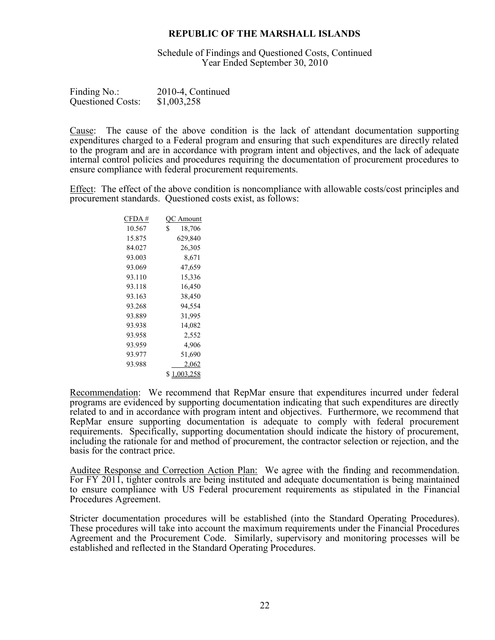Schedule of Findings and Questioned Costs, Continued Year Ended September 30, 2010

Finding No.: 2010-4, Continued<br>Questioned Costs: \$1,003,258 Questioned Costs:

Cause: The cause of the above condition is the lack of attendant documentation supporting expenditures charged to a Federal program and ensuring that such expenditures are directly related to the program and are in accordance with program intent and objectives, and the lack of adequate internal control policies and procedures requiring the documentation of procurement procedures to ensure compliance with federal procurement requirements.

Effect: The effect of the above condition is noncompliance with allowable costs/cost principles and procurement standards. Questioned costs exist, as follows:

| CFDA # | OC Amount   |
|--------|-------------|
| 10.567 | S<br>18,706 |
| 15.875 | 629,840     |
| 84.027 | 26,305      |
| 93.003 | 8.671       |
| 93.069 | 47,659      |
| 93.110 | 15,336      |
| 93.118 | 16,450      |
| 93.163 | 38,450      |
| 93.268 | 94,554      |
| 93.889 | 31,995      |
| 93.938 | 14,082      |
| 93.958 | 2,552       |
| 93.959 | 4,906       |
| 93.977 | 51,690      |
| 93.988 | 2,062       |
|        | \$1,003,258 |

Recommendation: We recommend that RepMar ensure that expenditures incurred under federal programs are evidenced by supporting documentation indicating that such expenditures are directly related to and in accordance with program intent and objectives. Furthermore, we recommend that RepMar ensure supporting documentation is adequate to comply with federal procurement requirements. Specifically, supporting documentation should indicate the history of procurement, including the rationale for and method of procurement, the contractor selection or rejection, and the basis for the contract price.

Auditee Response and Correction Action Plan: We agree with the finding and recommendation. For FY 2011, tighter controls are being instituted and adequate documentation is being maintained to ensure compliance with US Federal procurement requirements as stipulated in the Financial Procedures Agreement.

Stricter documentation procedures will be established (into the Standard Operating Procedures). These procedures will take into account the maximum requirements under the Financial Procedures Agreement and the Procurement Code. Similarly, supervisory and monitoring processes will be established and reflected in the Standard Operating Procedures.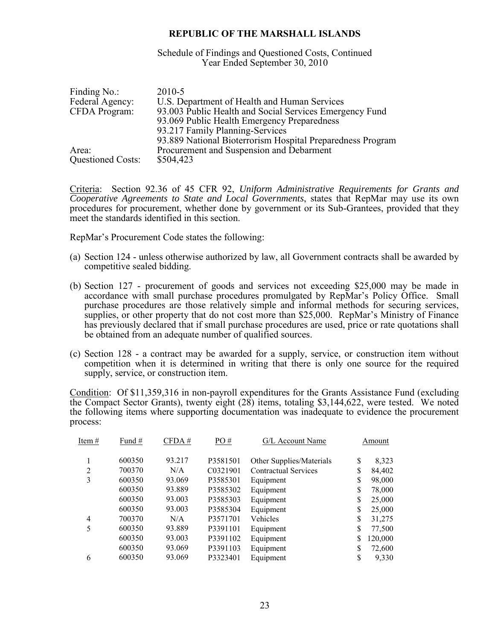Schedule of Findings and Questioned Costs, Continued Year Ended September 30, 2010

| Finding No.:      | 2010-5                                                     |
|-------------------|------------------------------------------------------------|
| Federal Agency:   | U.S. Department of Health and Human Services               |
| CFDA Program:     | 93.003 Public Health and Social Services Emergency Fund    |
|                   | 93.069 Public Health Emergency Preparedness                |
|                   | 93.217 Family Planning-Services                            |
|                   | 93.889 National Bioterrorism Hospital Preparedness Program |
| Area:             | Procurement and Suspension and Debarment                   |
| Questioned Costs: | \$504,423                                                  |

Criteria: Section 92.36 of 45 CFR 92, *Uniform Administrative Requirements for Grants and Cooperative Agreements to State and Local Governments*, states that RepMar may use its own procedures for procurement, whether done by government or its Sub-Grantees, provided that they meet the standards identified in this section.

RepMar's Procurement Code states the following:

- (a) Section 124 unless otherwise authorized by law, all Government contracts shall be awarded by competitive sealed bidding.
- (b) Section 127 procurement of goods and services not exceeding \$25,000 may be made in accordance with small purchase procedures promulgated by RepMar's Policy Office. Small purchase procedures are those relatively simple and informal methods for securing services, supplies, or other property that do not cost more than \$25,000. RepMar's Ministry of Finance has previously declared that if small purchase procedures are used, price or rate quotations shall be obtained from an adequate number of qualified sources.
- (c) Section 128 a contract may be awarded for a supply, service, or construction item without competition when it is determined in writing that there is only one source for the required supply, service, or construction item.

Condition: Of \$11,359,316 in non-payroll expenditures for the Grants Assistance Fund (excluding the Compact Sector Grants), twenty eight (28) items, totaling \$3,144,622, were tested. We noted the following items where supporting documentation was inadequate to evidence the procurement process:

| Item #         | CFDA#<br>PO#<br>Fund #<br>G/L Account Name |        | Amount   |                             |               |
|----------------|--------------------------------------------|--------|----------|-----------------------------|---------------|
|                | 600350                                     | 93.217 | P3581501 | Other Supplies/Materials    | \$<br>8,323   |
| $\overline{2}$ | 700370                                     | N/A    | C0321901 | <b>Contractual Services</b> | \$<br>84,402  |
| 3              | 600350                                     | 93.069 | P3585301 | Equipment                   | \$<br>98,000  |
|                | 600350                                     | 93.889 | P3585302 | Equipment                   | \$<br>78,000  |
|                | 600350                                     | 93.003 | P3585303 | Equipment                   | \$<br>25,000  |
|                | 600350                                     | 93.003 | P3585304 | Equipment                   | \$<br>25,000  |
| 4              | 700370                                     | N/A    | P3571701 | Vehicles                    | \$<br>31,275  |
| 5              | 600350                                     | 93.889 | P3391101 | Equipment                   | \$<br>77,500  |
|                | 600350                                     | 93.003 | P3391102 | Equipment                   | \$<br>120,000 |
|                | 600350                                     | 93.069 | P3391103 | Equipment                   | \$<br>72,600  |
| 6              | 600350                                     | 93.069 | P3323401 | Equipment                   | \$<br>9,330   |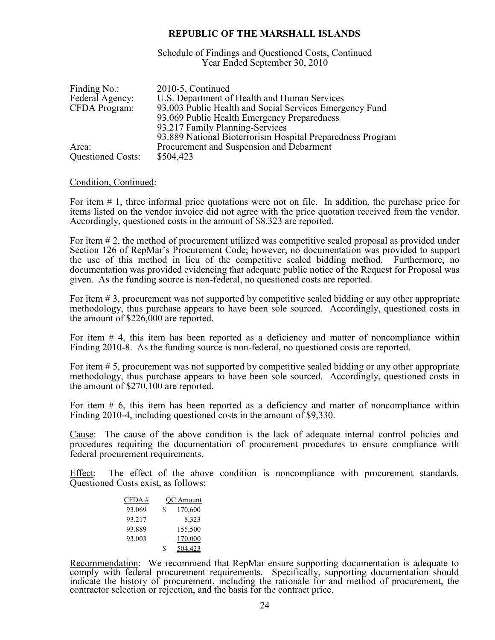Schedule of Findings and Questioned Costs, Continued Year Ended September 30, 2010

| Finding No.:             | 2010-5, Continued                                          |
|--------------------------|------------------------------------------------------------|
| Federal Agency:          | U.S. Department of Health and Human Services               |
| CFDA Program:            | 93.003 Public Health and Social Services Emergency Fund    |
|                          | 93.069 Public Health Emergency Preparedness                |
|                          | 93.217 Family Planning-Services                            |
|                          | 93.889 National Bioterrorism Hospital Preparedness Program |
| Area:                    | Procurement and Suspension and Debarment                   |
| <b>Questioned Costs:</b> | \$504,423                                                  |

#### Condition, Continued:

For item # 1, three informal price quotations were not on file. In addition, the purchase price for items listed on the vendor invoice did not agree with the price quotation received from the vendor. Accordingly, questioned costs in the amount of \$8,323 are reported.

For item # 2, the method of procurement utilized was competitive sealed proposal as provided under Section 126 of RepMar's Procurement Code; however, no documentation was provided to support the use of this method in lieu of the competitive sealed bidding method. Furthermore, no documentation was provided evidencing that adequate public notice of the Request for Proposal was given. As the funding source is non-federal, no questioned costs are reported.

For item # 3, procurement was not supported by competitive sealed bidding or any other appropriate methodology, thus purchase appears to have been sole sourced. Accordingly, questioned costs in the amount of \$226,000 are reported.

For item  $# 4$ , this item has been reported as a deficiency and matter of noncompliance within Finding 2010-8. As the funding source is non-federal, no questioned costs are reported.

For item # 5, procurement was not supported by competitive sealed bidding or any other appropriate methodology, thus purchase appears to have been sole sourced. Accordingly, questioned costs in the amount of \$270,100 are reported.

For item  $# 6$ , this item has been reported as a deficiency and matter of noncompliance within Finding 2010-4, including questioned costs in the amount of \$9,330.

Cause: The cause of the above condition is the lack of adequate internal control policies and procedures requiring the documentation of procurement procedures to ensure compliance with federal procurement requirements.

Effect: The effect of the above condition is noncompliance with procurement standards. Questioned Costs exist, as follows:

| CFDA # | <b>OC</b> Amount |
|--------|------------------|
| 93.069 | \$<br>170,600    |
| 93.217 | 8,323            |
| 93.889 | 155,500          |
| 93.003 | 170,000          |
|        | \$<br>504.423    |

Recommendation: We recommend that RepMar ensure supporting documentation is adequate to comply with federal procurement requirements. Specifically, supporting documentation should indicate the history of procurement, including the rationale for and method of procurement, the contractor selection or rejection, and the basis for the contract price.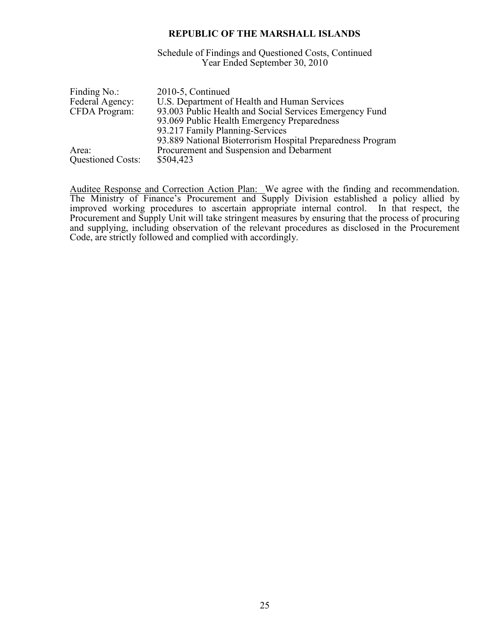Schedule of Findings and Questioned Costs, Continued Year Ended September 30, 2010

| Finding No.:             | $2010-5$ , Continued                                       |
|--------------------------|------------------------------------------------------------|
| Federal Agency:          | U.S. Department of Health and Human Services               |
| CFDA Program:            | 93.003 Public Health and Social Services Emergency Fund    |
|                          | 93.069 Public Health Emergency Preparedness                |
|                          | 93.217 Family Planning-Services                            |
|                          | 93.889 National Bioterrorism Hospital Preparedness Program |
| Area:                    | Procurement and Suspension and Debarment                   |
| <b>Questioned Costs:</b> | \$504,423                                                  |

Auditee Response and Correction Action Plan: We agree with the finding and recommendation. The Ministry of Finance's Procurement and Supply Division established a policy allied by improved working procedures to ascertain appropriate internal control. In that respect, the Procurement and Supply Unit will take stringent measures by ensuring that the process of procuring and supplying, including observation of the relevant procedures as disclosed in the Procurement Code, are strictly followed and complied with accordingly.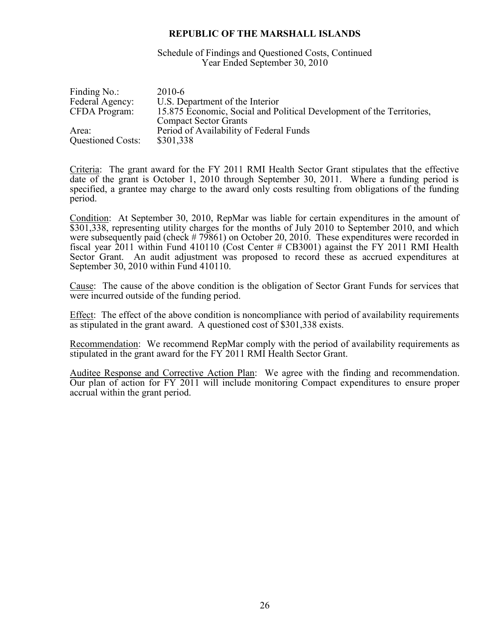Schedule of Findings and Questioned Costs, Continued Year Ended September 30, 2010

| Finding No.:             | 2010-6                                                                |
|--------------------------|-----------------------------------------------------------------------|
| Federal Agency:          | U.S. Department of the Interior                                       |
| CFDA Program:            | 15.875 Economic, Social and Political Development of the Territories, |
|                          | <b>Compact Sector Grants</b>                                          |
| Area:                    | Period of Availability of Federal Funds                               |
| <b>Questioned Costs:</b> | \$301,338                                                             |

Criteria: The grant award for the FY 2011 RMI Health Sector Grant stipulates that the effective date of the grant is October 1, 2010 through September 30, 2011. Where a funding period is specified, a grantee may charge to the award only costs resulting from obligations of the funding period.

Condition: At September 30, 2010, RepMar was liable for certain expenditures in the amount of \$301,338, representing utility charges for the months of July 2010 to September 2010, and which were subsequently paid (check # 79861) on October 20, 2010. These expenditures were recorded in fiscal year 2011 within Fund 410110 (Cost Center # CB3001) against the FY 2011 RMI Health Sector Grant. An audit adjustment was proposed to record these as accrued expenditures at September 30, 2010 within Fund 410110.

Cause: The cause of the above condition is the obligation of Sector Grant Funds for services that were incurred outside of the funding period.

Effect: The effect of the above condition is noncompliance with period of availability requirements as stipulated in the grant award. A questioned cost of \$301,338 exists.

Recommendation: We recommend RepMar comply with the period of availability requirements as stipulated in the grant award for the FY 2011 RMI Health Sector Grant.

Auditee Response and Corrective Action Plan: We agree with the finding and recommendation. Our plan of action for FY 2011 will include monitoring Compact expenditures to ensure proper accrual within the grant period.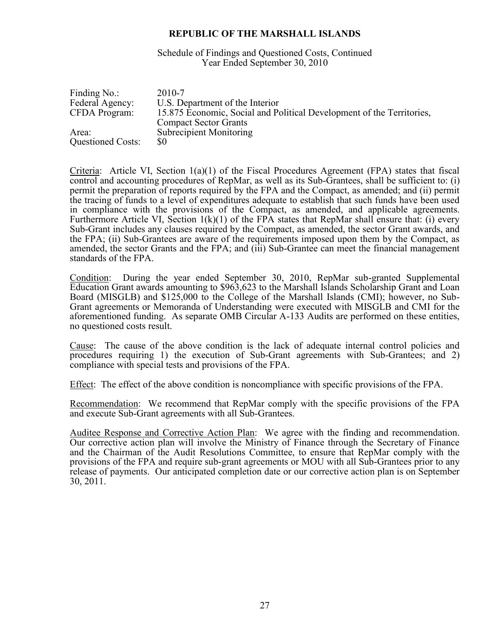Schedule of Findings and Questioned Costs, Continued Year Ended September 30, 2010

| Finding No.:             | 2010-7                                                                |
|--------------------------|-----------------------------------------------------------------------|
| Federal Agency:          | U.S. Department of the Interior                                       |
| CFDA Program:            | 15.875 Economic, Social and Political Development of the Territories, |
|                          | <b>Compact Sector Grants</b>                                          |
| Area:                    | <b>Subrecipient Monitoring</b>                                        |
| <b>Questioned Costs:</b> | \$0                                                                   |

Criteria: Article VI, Section  $1(a)(1)$  of the Fiscal Procedures Agreement (FPA) states that fiscal control and accounting procedures of RepMar, as well as its Sub-Grantees, shall be sufficient to: (i) permit the preparation of reports required by the FPA and the Compact, as amended; and (ii) permit the tracing of funds to a level of expenditures adequate to establish that such funds have been used in compliance with the provisions of the Compact, as amended, and applicable agreements. Furthermore Article VI, Section  $1(k)(1)$  of the FPA states that RepMar shall ensure that: (i) every Sub-Grant includes any clauses required by the Compact, as amended, the sector Grant awards, and the FPA; (ii) Sub-Grantees are aware of the requirements imposed upon them by the Compact, as amended, the sector Grants and the FPA; and (iii) Sub-Grantee can meet the financial management standards of the FPA.

Condition: During the year ended September 30, 2010, RepMar sub-granted Supplemental Education Grant awards amounting to \$963,623 to the Marshall Islands Scholarship Grant and Loan Board (MISGLB) and \$125,000 to the College of the Marshall Islands (CMI); however, no Sub-Grant agreements or Memoranda of Understanding were executed with MISGLB and CMI for the aforementioned funding. As separate OMB Circular A-133 Audits are performed on these entities, no questioned costs result.

Cause: The cause of the above condition is the lack of adequate internal control policies and procedures requiring 1) the execution of Sub-Grant agreements with Sub-Grantees; and 2) compliance with special tests and provisions of the FPA.

Effect: The effect of the above condition is noncompliance with specific provisions of the FPA.

Recommendation: We recommend that RepMar comply with the specific provisions of the FPA and execute Sub-Grant agreements with all Sub-Grantees.

Auditee Response and Corrective Action Plan: We agree with the finding and recommendation. Our corrective action plan will involve the Ministry of Finance through the Secretary of Finance and the Chairman of the Audit Resolutions Committee, to ensure that RepMar comply with the provisions of the FPA and require sub-grant agreements or MOU with all Sub-Grantees prior to any release of payments. Our anticipated completion date or our corrective action plan is on September 30, 2011.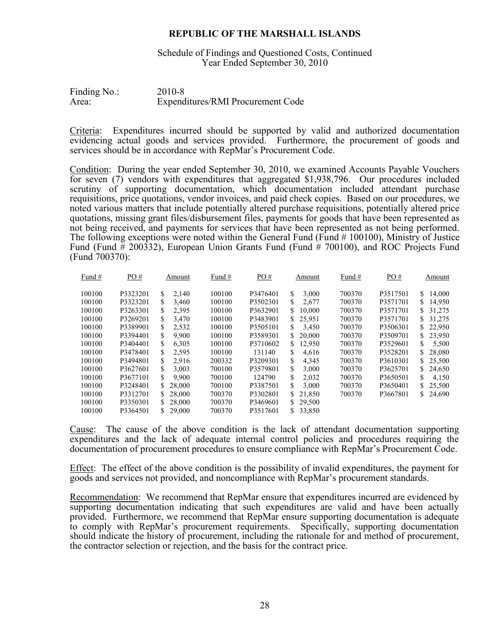Schedule of Findings and Questioned Costs, Continued Year Ended September 30, 2010

Finding No.: 2010-8<br>Area: Expend Expenditures/RMI Procurement Code

Criteria: Expenditures incurred should be supported by valid and authorized documentation evidencing actual goods and services provided. Furthermore, the procurement of goods and services should be in accordance with RepMar's Procurement Code.

Condition: During the year ended September 30, 2010, we examined Accounts Payable Vouchers for seven (7) vendors with expenditures that aggregated \$1,938,796. Our procedures included scrutiny of supporting documentation, which documentation included attendant purchase requisitions, price quotations, vendor invoices, and paid check copies. Based on our procedures, we noted various matters that include potentially altered purchase requisitions, potentially altered price quotations, missing grant files/disbursement files, payments for goods that have been represented as not being received, and payments for services that have been represented as not being performed. The following exceptions were noted within the General Fund (Fund # 100100), Ministry of Justice Fund (Fund  $\frac{3}{2}$  200332), European Union Grants Fund (Fund  $\frac{3}{2}$  700100), and ROC Projects Fund (Fund 700370):

| Fund # | PO#      |    | Amount   | Fund # | PO#      |    | Amount   | Fund # | PO#      |    | Amount   |
|--------|----------|----|----------|--------|----------|----|----------|--------|----------|----|----------|
| 100100 | P3323201 | \$ | 2,140    | 100100 | P3476401 | \$ | 3,000    | 700370 | P3517501 | \$ | 14,000   |
| 100100 | P3323201 | \$ | 3,460    | 100100 | P3502301 | S  | 2,677    | 700370 | P3571701 | \$ | 14,950   |
| 100100 | P3263301 | \$ | 2.395    | 100100 | P3632901 | S  | 10.000   | 700370 | P3571701 | S. | 31,275   |
| 100100 | P3269201 | S  | 3,470    | 100100 | P3483901 | S. | 25,951   | 700370 | P3571701 | S. | 31,275   |
| 100100 | P3389901 | \$ | 2,532    | 100100 | P3505101 | S  | 3.450    | 700370 | P3506301 | S. | 22,950   |
| 100100 | P3394401 | \$ | 9,900    | 100100 | P3589301 | S. | 20,000   | 700370 | P3509701 | \$ | 23,950   |
| 100100 | P3404401 | \$ | 6,305    | 100100 | P3710602 | S. | 12,950   | 700370 | P3529601 | S  | 5,500    |
| 100100 | P3478401 | \$ | 2,595    | 100100 | 131140   | \$ | 4,616    | 700370 | P3528201 | S. | 28,080   |
| 100100 | P3494801 | S  | 2,916    | 200332 | P3209301 | \$ | 4,345    | 700370 | P3610301 | S. | 25,500   |
| 100100 | P3627601 | S  | 3.003    | 700100 | P3579801 | \$ | 3,000    | 700370 | P3625701 |    | \$24,650 |
| 100100 | P3677101 | \$ | 9.900    | 700100 | 124790   | \$ | 2,032    | 700370 | P3650501 | S  | 4,150    |
| 100100 | P3248401 | S. | 28,000   | 700100 | P3387501 | \$ | 3,000    | 700370 | P3650401 | S. | 25,500   |
| 100100 | P3312701 | S. | 28,000   | 700370 | P3302801 | S. | 21,850   | 700370 | P3667801 | S. | 24,690   |
| 100100 | P3350301 |    | \$28,000 | 700370 | P3469601 |    | \$29,500 |        |          |    |          |
| 100100 | P3364501 | S. | 29,000   | 700370 | P3517601 | S. | 33,850   |        |          |    |          |

Cause: The cause of the above condition is the lack of attendant documentation supporting expenditures and the lack of adequate internal control policies and procedures requiring the documentation of procurement procedures to ensure compliance with RepMar's Procurement Code.

Effect: The effect of the above condition is the possibility of invalid expenditures, the payment for goods and services not provided, and noncompliance with RepMar's procurement standards.

Recommendation: We recommend that RepMar ensure that expenditures incurred are evidenced by supporting documentation indicating that such expenditures are valid and have been actually provided. Furthermore, we recommend that RepMar ensure supporting documentation is adequate to comply with RepMar's procurement requirements. Specifically, supporting documentation should indicate the history of procurement, including the rationale for and method of procurement, the contractor selection or rejection, and the basis for the contract price.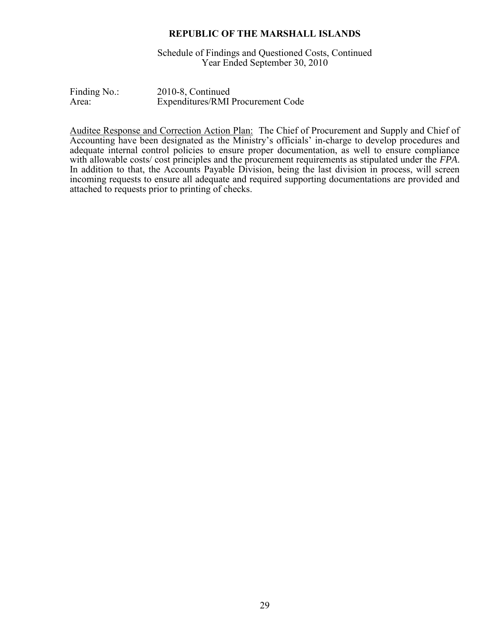Schedule of Findings and Questioned Costs, Continued Year Ended September 30, 2010

Finding No.: 2010-8, Continued<br>Area: Expenditures/RMI Expenditures/RMI Procurement Code

Auditee Response and Correction Action Plan: The Chief of Procurement and Supply and Chief of Accounting have been designated as the Ministry's officials' in-charge to develop procedures and adequate internal control policies to ensure proper documentation, as well to ensure compliance with allowable costs/ cost principles and the procurement requirements as stipulated under the *FPA*. In addition to that, the Accounts Payable Division, being the last division in process, will screen incoming requests to ensure all adequate and required supporting documentations are provided and attached to requests prior to printing of checks.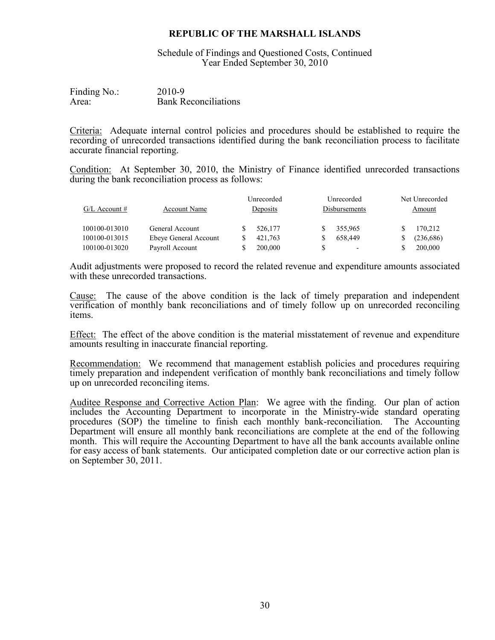Schedule of Findings and Questioned Costs, Continued Year Ended September 30, 2010

Finding No.: 2010-9<br>Area: Bank R **Bank Reconciliations** 

Criteria: Adequate internal control policies and procedures should be established to require the recording of unrecorded transactions identified during the bank reconciliation process to facilitate accurate financial reporting.

Condition: At September 30, 2010, the Ministry of Finance identified unrecorded transactions during the bank reconciliation process as follows:

| $G/L$ Account # | Account Name          | Unrecorded<br>Deposits | Unrecorded<br><b>Disbursements</b> | Net Unrecorded<br>Amount |  |
|-----------------|-----------------------|------------------------|------------------------------------|--------------------------|--|
| 100100-013010   | General Account       | 526.177                | 355.965                            | 170.212                  |  |
| 100100-013015   | Ebeye General Account | 421.763                | 658.449                            | (236,686)                |  |
| 100100-013020   | Payroll Account       | 200,000                | $\overline{\phantom{0}}$           | 200,000                  |  |

Audit adjustments were proposed to record the related revenue and expenditure amounts associated with these unrecorded transactions.

Cause: The cause of the above condition is the lack of timely preparation and independent verification of monthly bank reconciliations and of timely follow up on unrecorded reconciling items.

Effect: The effect of the above condition is the material misstatement of revenue and expenditure amounts resulting in inaccurate financial reporting.

Recommendation: We recommend that management establish policies and procedures requiring timely preparation and independent verification of monthly bank reconciliations and timely follow up on unrecorded reconciling items.

Auditee Response and Corrective Action Plan: We agree with the finding. Our plan of action includes the Accounting Department to incorporate in the Ministry-wide standard operating procedures (SOP) the timeline to finish each monthly bank-reconciliation. The Accounting Department will ensure all monthly bank reconciliations are complete at the end of the following month. This will require the Accounting Department to have all the bank accounts available online for easy access of bank statements. Our anticipated completion date or our corrective action plan is on September 30, 2011.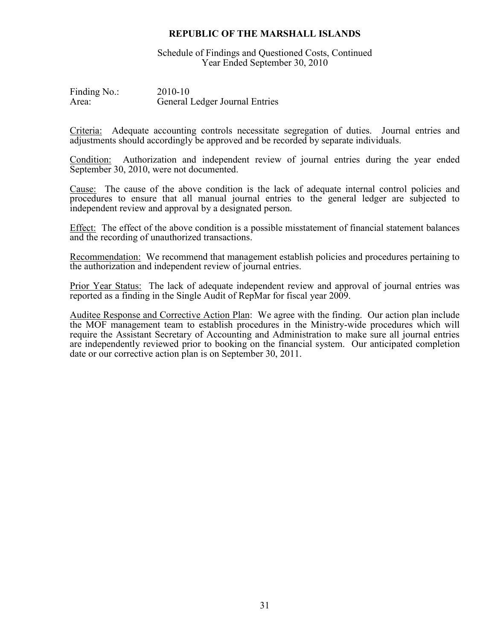Schedule of Findings and Questioned Costs, Continued Year Ended September 30, 2010

Finding No.: 2010-10<br>Area: General 1 General Ledger Journal Entries

Criteria: Adequate accounting controls necessitate segregation of duties. Journal entries and adjustments should accordingly be approved and be recorded by separate individuals.

Condition: Authorization and independent review of journal entries during the year ended September 30, 2010, were not documented.

Cause: The cause of the above condition is the lack of adequate internal control policies and procedures to ensure that all manual journal entries to the general ledger are subjected to independent review and approval by a designated person.

Effect: The effect of the above condition is a possible misstatement of financial statement balances and the recording of unauthorized transactions.

Recommendation: We recommend that management establish policies and procedures pertaining to the authorization and independent review of journal entries.

Prior Year Status: The lack of adequate independent review and approval of journal entries was reported as a finding in the Single Audit of RepMar for fiscal year 2009.

Auditee Response and Corrective Action Plan: We agree with the finding. Our action plan include the MOF management team to establish procedures in the Ministry-wide procedures which will require the Assistant Secretary of Accounting and Administration to make sure all journal entries are independently reviewed prior to booking on the financial system. Our anticipated completion date or our corrective action plan is on September 30, 2011.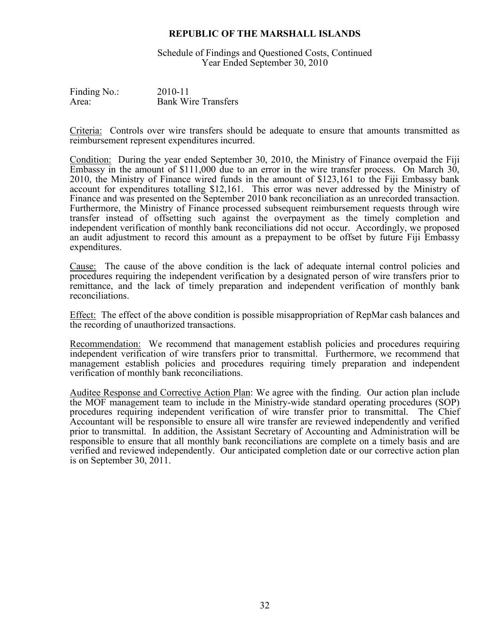Schedule of Findings and Questioned Costs, Continued Year Ended September 30, 2010

Finding No.: 2010-11<br>Area: Bank Wi **Bank Wire Transfers** 

Criteria: Controls over wire transfers should be adequate to ensure that amounts transmitted as reimbursement represent expenditures incurred.

Condition: During the year ended September 30, 2010, the Ministry of Finance overpaid the Fiji Embassy in the amount of \$111,000 due to an error in the wire transfer process. On March 30, 2010, the Ministry of Finance wired funds in the amount of \$123,161 to the Fiji Embassy bank account for expenditures totalling \$12,161. This error was never addressed by the Ministry of Finance and was presented on the September 2010 bank reconciliation as an unrecorded transaction. Furthermore, the Ministry of Finance processed subsequent reimbursement requests through wire transfer instead of offsetting such against the overpayment as the timely completion and independent verification of monthly bank reconciliations did not occur. Accordingly, we proposed an audit adjustment to record this amount as a prepayment to be offset by future Fiji Embassy expenditures.

Cause: The cause of the above condition is the lack of adequate internal control policies and procedures requiring the independent verification by a designated person of wire transfers prior to remittance, and the lack of timely preparation and independent verification of monthly bank reconciliations.

Effect: The effect of the above condition is possible misappropriation of RepMar cash balances and the recording of unauthorized transactions.

Recommendation: We recommend that management establish policies and procedures requiring independent verification of wire transfers prior to transmittal. Furthermore, we recommend that management establish policies and procedures requiring timely preparation and independent verification of monthly bank reconciliations.

Auditee Response and Corrective Action Plan: We agree with the finding. Our action plan include the MOF management team to include in the Ministry-wide standard operating procedures (SOP) procedures requiring independent verification of wire transfer prior to transmittal. The Chief Accountant will be responsible to ensure all wire transfer are reviewed independently and verified prior to transmittal. In addition, the Assistant Secretary of Accounting and Administration will be responsible to ensure that all monthly bank reconciliations are complete on a timely basis and are verified and reviewed independently. Our anticipated completion date or our corrective action plan is on September 30, 2011.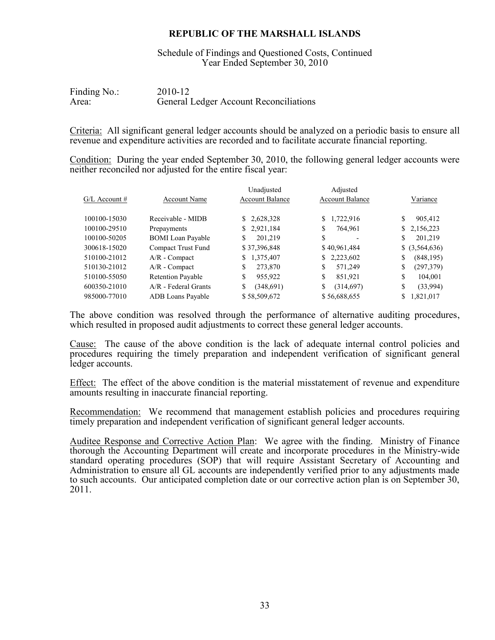Schedule of Findings and Questioned Costs, Continued Year Ended September 30, 2010

Finding No.: 2010-12<br>Area: General General Ledger Account Reconciliations

Criteria: All significant general ledger accounts should be analyzed on a periodic basis to ensure all revenue and expenditure activities are recorded and to facilitate accurate financial reporting.

Condition: During the year ended September 30, 2010, the following general ledger accounts were neither reconciled nor adjusted for the entire fiscal year:

|                 |                          | Unadjusted             | Adjusted               |                   |
|-----------------|--------------------------|------------------------|------------------------|-------------------|
| $G/L$ Account # | <b>Account Name</b>      | <b>Account Balance</b> | <b>Account Balance</b> | Variance          |
| 100100-15030    | Receivable - MIDB        | 2,628,328<br>S.        | \$1,722,916            | \$<br>905,412     |
| 100100-29510    | Prepayments              | 2,921,184<br>S.        | 764,961<br>S           | 2,156,223<br>\$   |
| 100100-50205    | <b>BOMI</b> Loan Payable | 201,219<br>S           | \$                     | 201,219<br>\$     |
| 300618-15020    | Compact Trust Fund       | \$37,396,848           | \$40,961,484           | $$$ $(3,564,636)$ |
| 510100-21012    | $A/R$ - Compact          | 1,375,407<br>\$        | \$2,223,602            | \$<br>(848, 195)  |
| 510130-21012    | $A/R$ - Compact          | 273,870<br>S           | \$<br>571,249          | \$<br>(297,379)   |
| 510100-55050    | <b>Retention Payable</b> | \$<br>955,922          | \$<br>851,921          | \$<br>104,001     |
| 600350-21010    | $A/R$ - Federal Grants   | (348,691)<br>S         | \$<br>(314,697)        | \$<br>(33,994)    |
| 985000-77010    | ADB Loans Payable        | \$58,509,672           | \$56,688,655           | \$<br>1,821,017   |

The above condition was resolved through the performance of alternative auditing procedures, which resulted in proposed audit adjustments to correct these general ledger accounts.

Cause: The cause of the above condition is the lack of adequate internal control policies and procedures requiring the timely preparation and independent verification of significant general ledger accounts.

Effect: The effect of the above condition is the material misstatement of revenue and expenditure amounts resulting in inaccurate financial reporting.

Recommendation: We recommend that management establish policies and procedures requiring timely preparation and independent verification of significant general ledger accounts.

Auditee Response and Corrective Action Plan: We agree with the finding. Ministry of Finance thorough the Accounting Department will create and incorporate procedures in the Ministry-wide standard operating procedures (SOP) that will require Assistant Secretary of Accounting and Administration to ensure all GL accounts are independently verified prior to any adjustments made to such accounts. Our anticipated completion date or our corrective action plan is on September 30, 2011.